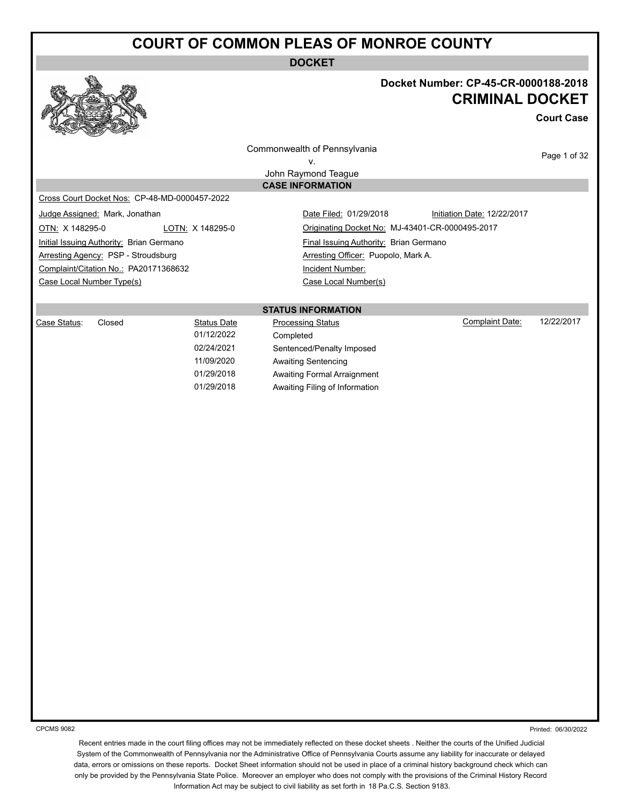**DOCKET**



#### **Docket Number: CP-45-CR-0000188-2018 CRIMINAL DOCKET**

**Court Case**

Commonwealth of Pennsylvania v.

Page 1 of 32

John Raymond Teague **CASE INFORMATION**

Cross Court Docket Nos: CP-48-MD-0000457-2022

Initial Issuing Authority: Brian Germano Final Issuing Authority: Brian Germano Arresting Agency: PSP - Stroudsburg Arresting Officer: Puopolo, Mark A. Complaint/Citation No.: PA20171368632 Incident Number: Case Local Number Type(s) Case Local Number(s)

Judge Assigned: Mark, Jonathan **Date Filed: 01/29/2018** Initiation Date: 12/22/2017 OTN: X 148295-0 LOTN: X 148295-0 Originating Docket No: MJ-43401-CR-0000495-2017

**STATUS INFORMATION**

| Case Status: | Closed | Status Date | <b>Processing Status</b>       | Complaint Date: | 12/22/2017 |
|--------------|--------|-------------|--------------------------------|-----------------|------------|
|              |        | 01/12/2022  | Completed                      |                 |            |
|              |        | 02/24/2021  | Sentenced/Penalty Imposed      |                 |            |
|              |        | 11/09/2020  | Awaiting Sentencing            |                 |            |
|              |        | 01/29/2018  | Awaiting Formal Arraignment    |                 |            |
|              |        | 01/29/2018  | Awaiting Filing of Information |                 |            |

CPCMS 9082

Printed: 06/30/2022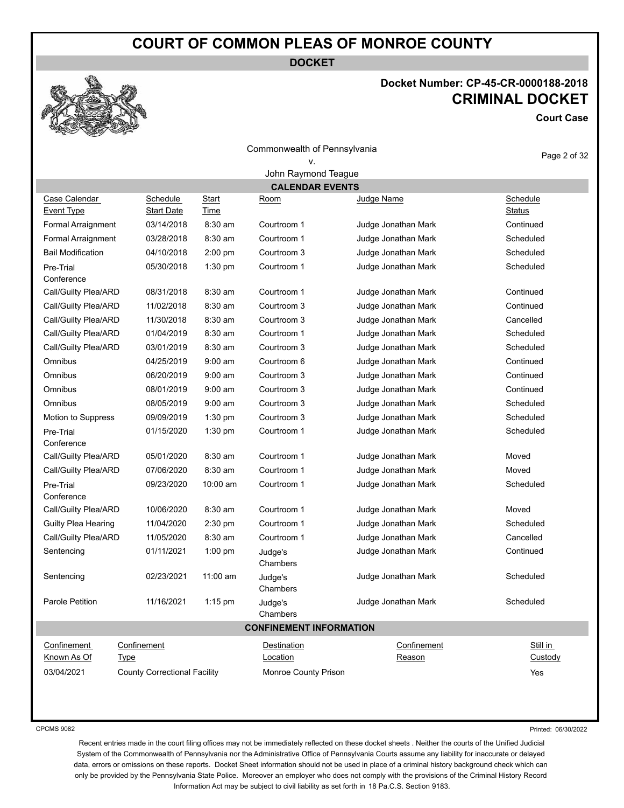**DOCKET**

# **Docket Number: CP-45-CR-0000188-2018 CRIMINAL DOCKET**

**Court Case**

Page 2 of 32

| Commonwealth of Pennsylvania |  |
|------------------------------|--|
|------------------------------|--|

v. John Raymond Teague

|                           | <b>CALENDAR EVENTS</b>              |              |                                |                     |               |  |
|---------------------------|-------------------------------------|--------------|--------------------------------|---------------------|---------------|--|
| Case Calendar             | <b>Schedule</b>                     | <b>Start</b> | <u>Room</u>                    | <b>Judge Name</b>   | Schedule      |  |
| Event Type                | <b>Start Date</b>                   | Time         |                                |                     | <b>Status</b> |  |
| Formal Arraignment        | 03/14/2018                          | $8:30$ am    | Courtroom 1                    | Judge Jonathan Mark | Continued     |  |
| Formal Arraignment        | 03/28/2018                          | 8:30 am      | Courtroom 1                    | Judge Jonathan Mark | Scheduled     |  |
| <b>Bail Modification</b>  | 04/10/2018                          | $2:00$ pm    | Courtroom 3                    | Judge Jonathan Mark | Scheduled     |  |
| Pre-Trial<br>Conference   | 05/30/2018                          | $1:30$ pm    | Courtroom 1                    | Judge Jonathan Mark | Scheduled     |  |
| Call/Guilty Plea/ARD      | 08/31/2018                          | 8:30 am      | Courtroom 1                    | Judge Jonathan Mark | Continued     |  |
| Call/Guilty Plea/ARD      | 11/02/2018                          | 8:30 am      | Courtroom 3                    | Judge Jonathan Mark | Continued     |  |
| Call/Guilty Plea/ARD      | 11/30/2018                          | 8:30 am      | Courtroom 3                    | Judge Jonathan Mark | Cancelled     |  |
| Call/Guilty Plea/ARD      | 01/04/2019                          | 8:30 am      | Courtroom 1                    | Judge Jonathan Mark | Scheduled     |  |
| Call/Guilty Plea/ARD      | 03/01/2019                          | 8:30 am      | Courtroom 3                    | Judge Jonathan Mark | Scheduled     |  |
| Omnibus                   | 04/25/2019                          | $9:00$ am    | Courtroom 6                    | Judge Jonathan Mark | Continued     |  |
| Omnibus                   | 06/20/2019                          | $9:00$ am    | Courtroom 3                    | Judge Jonathan Mark | Continued     |  |
| Omnibus                   | 08/01/2019                          | $9:00$ am    | Courtroom 3                    | Judge Jonathan Mark | Continued     |  |
| Omnibus                   | 08/05/2019                          | $9:00$ am    | Courtroom 3                    | Judge Jonathan Mark | Scheduled     |  |
| <b>Motion to Suppress</b> | 09/09/2019                          | $1:30$ pm    | Courtroom 3                    | Judge Jonathan Mark | Scheduled     |  |
| Pre-Trial                 | 01/15/2020                          | $1:30$ pm    | Courtroom 1                    | Judge Jonathan Mark | Scheduled     |  |
| Conference                |                                     |              |                                |                     |               |  |
| Call/Guilty Plea/ARD      | 05/01/2020                          | 8:30 am      | Courtroom 1                    | Judge Jonathan Mark | Moved         |  |
| Call/Guilty Plea/ARD      | 07/06/2020                          | $8:30$ am    | Courtroom 1                    | Judge Jonathan Mark | Moved         |  |
| Pre-Trial<br>Conference   | 09/23/2020                          | 10:00 am     | Courtroom 1                    | Judge Jonathan Mark | Scheduled     |  |
| Call/Guilty Plea/ARD      | 10/06/2020                          | $8:30$ am    | Courtroom 1                    | Judge Jonathan Mark | Moved         |  |
| Guilty Plea Hearing       | 11/04/2020                          | $2:30$ pm    | Courtroom 1                    | Judge Jonathan Mark | Scheduled     |  |
| Call/Guilty Plea/ARD      | 11/05/2020                          | 8:30 am      | Courtroom 1                    | Judge Jonathan Mark | Cancelled     |  |
| Sentencing                | 01/11/2021                          | $1:00$ pm    | Judge's<br>Chambers            | Judge Jonathan Mark | Continued     |  |
| Sentencing                | 02/23/2021                          | 11:00 am     | Judge's<br>Chambers            | Judge Jonathan Mark | Scheduled     |  |
| Parole Petition           | 11/16/2021                          | $1:15$ pm    | Judge's<br>Chambers            | Judge Jonathan Mark | Scheduled     |  |
|                           |                                     |              | <b>CONFINEMENT INFORMATION</b> |                     |               |  |
| Confinement               | Confinement                         |              | <b>Destination</b>             | Confinement         | Still in      |  |
| Known As Of               | <u>Type</u>                         |              | Location                       | Reason              | Custody       |  |
| 03/04/2021                | <b>County Correctional Facility</b> |              | <b>Monroe County Prison</b>    |                     | Yes           |  |
|                           |                                     |              |                                |                     |               |  |

CPCMS 9082

Printed: 06/30/2022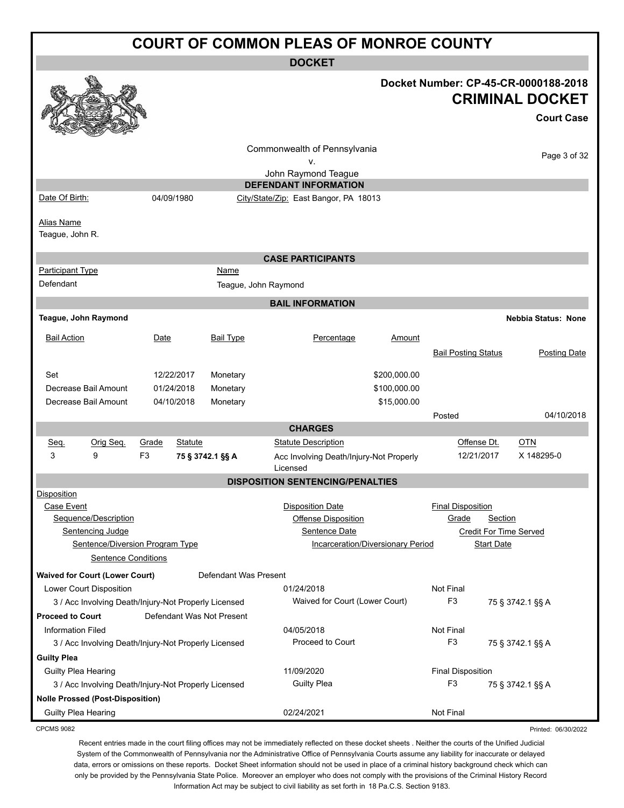| <b>COURT OF COMMON PLEAS OF MONROE COUNTY</b>                  |                                                           |                                                                                     |  |  |
|----------------------------------------------------------------|-----------------------------------------------------------|-------------------------------------------------------------------------------------|--|--|
|                                                                | <b>DOCKET</b>                                             |                                                                                     |  |  |
|                                                                |                                                           | Docket Number: CP-45-CR-0000188-2018<br><b>CRIMINAL DOCKET</b><br><b>Court Case</b> |  |  |
|                                                                | Commonwealth of Pennsylvania<br>٧.<br>John Raymond Teague | Page 3 of 32                                                                        |  |  |
|                                                                | <b>DEFENDANT INFORMATION</b>                              |                                                                                     |  |  |
| Date Of Birth:<br>04/09/1980                                   | City/State/Zip: East Bangor, PA 18013                     |                                                                                     |  |  |
| <b>Alias Name</b><br>Teague, John R.                           |                                                           |                                                                                     |  |  |
|                                                                | <b>CASE PARTICIPANTS</b>                                  |                                                                                     |  |  |
| <b>Participant Type</b><br>Name                                |                                                           |                                                                                     |  |  |
| Defendant                                                      | Teague, John Raymond                                      |                                                                                     |  |  |
|                                                                | <b>BAIL INFORMATION</b>                                   |                                                                                     |  |  |
| Teague, John Raymond                                           |                                                           | <b>Nebbia Status: None</b>                                                          |  |  |
| <b>Bail Action</b><br>Date<br><b>Bail Type</b>                 | Percentage<br>Amount                                      |                                                                                     |  |  |
|                                                                |                                                           |                                                                                     |  |  |
|                                                                |                                                           | <b>Bail Posting Status</b><br>Posting Date                                          |  |  |
| Set<br>12/22/2017<br>Monetary                                  | \$200,000.00                                              |                                                                                     |  |  |
| Decrease Bail Amount<br>01/24/2018<br>Monetary                 | \$100,000.00                                              |                                                                                     |  |  |
| Decrease Bail Amount<br>04/10/2018<br>Monetary                 | \$15,000.00                                               |                                                                                     |  |  |
|                                                                |                                                           | 04/10/2018<br>Posted                                                                |  |  |
|                                                                | <b>CHARGES</b>                                            |                                                                                     |  |  |
| Orig Seq.<br>Seq.<br>Grade<br><b>Statute</b>                   | <b>Statute Description</b>                                | Offense Dt.<br><b>OTN</b>                                                           |  |  |
| 9<br>F <sub>3</sub><br>3<br>75 § 3742.1 §§ A                   | Acc Involving Death/Injury-Not Properly<br>Licensed       | X 148295-0<br>12/21/2017                                                            |  |  |
|                                                                | <b>DISPOSITION SENTENCING/PENALTIES</b>                   |                                                                                     |  |  |
| <b>Disposition</b>                                             |                                                           |                                                                                     |  |  |
| Case Event                                                     | <b>Disposition Date</b>                                   | <b>Final Disposition</b>                                                            |  |  |
| Sequence/Description                                           | Offense Disposition                                       | Grade<br>Section                                                                    |  |  |
| Sentencing Judge                                               | Sentence Date                                             | <b>Credit For Time Served</b>                                                       |  |  |
| Sentence/Diversion Program Type                                | Incarceration/Diversionary Period                         | <b>Start Date</b>                                                                   |  |  |
| <b>Sentence Conditions</b>                                     |                                                           |                                                                                     |  |  |
| <b>Waived for Court (Lower Court)</b><br>Defendant Was Present |                                                           |                                                                                     |  |  |
| Lower Court Disposition                                        | 01/24/2018                                                | Not Final                                                                           |  |  |
| 3 / Acc Involving Death/Injury-Not Properly Licensed           | Waived for Court (Lower Court)                            | F <sub>3</sub><br>75 § 3742.1 §§ A                                                  |  |  |
| <b>Proceed to Court</b><br>Defendant Was Not Present           |                                                           |                                                                                     |  |  |
| <b>Information Filed</b>                                       | 04/05/2018                                                | Not Final                                                                           |  |  |
| 3 / Acc Involving Death/Injury-Not Properly Licensed           | Proceed to Court                                          | F <sub>3</sub><br>75 § 3742.1 §§ A                                                  |  |  |
| <b>Guilty Plea</b>                                             |                                                           |                                                                                     |  |  |
| Guilty Plea Hearing                                            | 11/09/2020                                                | <b>Final Disposition</b>                                                            |  |  |
| 3 / Acc Involving Death/Injury-Not Properly Licensed           | <b>Guilty Plea</b>                                        | F <sub>3</sub><br>75 § 3742.1 §§ A                                                  |  |  |
| <b>Nolle Prossed (Post-Disposition)</b>                        |                                                           |                                                                                     |  |  |

Guilty Plea Hearing **Canadiates COMEX 12021 COMEX 12021 Not Final Not Final** 

CPCMS 9082

Recent entries made in the court filing offices may not be immediately reflected on these docket sheets . Neither the courts of the Unified Judicial System of the Commonwealth of Pennsylvania nor the Administrative Office of Pennsylvania Courts assume any liability for inaccurate or delayed data, errors or omissions on these reports. Docket Sheet information should not be used in place of a criminal history background check which can only be provided by the Pennsylvania State Police. Moreover an employer who does not comply with the provisions of the Criminal History Record Information Act may be subject to civil liability as set forth in 18 Pa.C.S. Section 9183.

Printed: 06/30/2022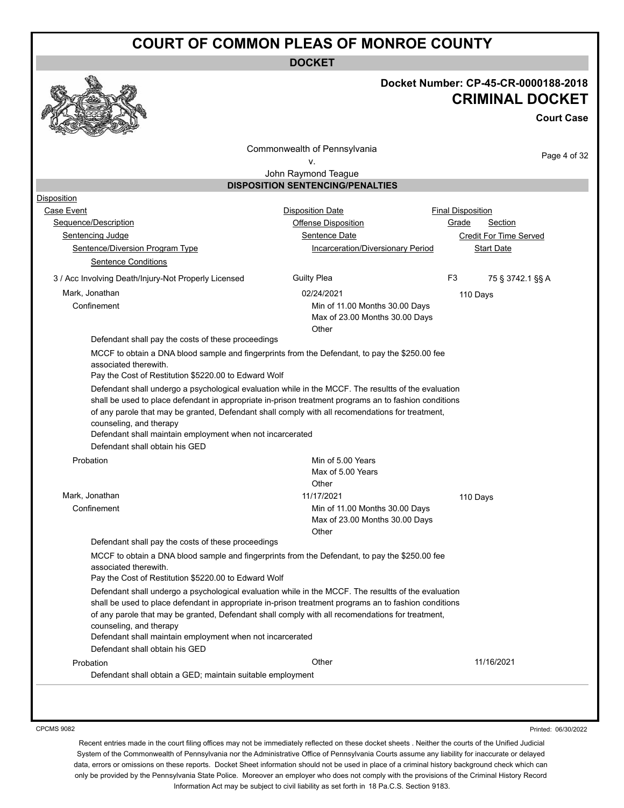**DOCKET**



#### **Docket Number: CP-45-CR-0000188-2018 CRIMINAL DOCKET**

**Court Case**

Commonwealth of Pennsylvania v.

Page 4 of 32

#### John Raymond Teague **DISPOSITION SENTENCING/PENALTIES**

| Disposition                                                                                                                                                                                                                                                                                                                                                                                               |                                                                           |                          |                        |
|-----------------------------------------------------------------------------------------------------------------------------------------------------------------------------------------------------------------------------------------------------------------------------------------------------------------------------------------------------------------------------------------------------------|---------------------------------------------------------------------------|--------------------------|------------------------|
| Case Event                                                                                                                                                                                                                                                                                                                                                                                                | Disposition Date                                                          | <b>Final Disposition</b> |                        |
| Sequence/Description                                                                                                                                                                                                                                                                                                                                                                                      | Offense Disposition                                                       | Grade                    | Section                |
| Sentencing Judge                                                                                                                                                                                                                                                                                                                                                                                          | Sentence Date                                                             |                          | Credit For Time Served |
| Sentence/Diversion Program Type                                                                                                                                                                                                                                                                                                                                                                           | <b>Incarceration/Diversionary Period</b>                                  |                          | <b>Start Date</b>      |
| <b>Sentence Conditions</b>                                                                                                                                                                                                                                                                                                                                                                                |                                                                           |                          |                        |
| 3 / Acc Involving Death/Injury-Not Properly Licensed                                                                                                                                                                                                                                                                                                                                                      | <b>Guilty Plea</b>                                                        | F <sub>3</sub>           | 75 § 3742.1 §§ A       |
| Mark, Jonathan                                                                                                                                                                                                                                                                                                                                                                                            | 02/24/2021                                                                | 110 Days                 |                        |
| Confinement                                                                                                                                                                                                                                                                                                                                                                                               | Min of 11.00 Months 30.00 Days<br>Max of 23.00 Months 30.00 Days<br>Other |                          |                        |
| Defendant shall pay the costs of these proceedings                                                                                                                                                                                                                                                                                                                                                        |                                                                           |                          |                        |
| MCCF to obtain a DNA blood sample and fingerprints from the Defendant, to pay the \$250.00 fee<br>associated therewith.<br>Pay the Cost of Restitution \$5220.00 to Edward Wolf                                                                                                                                                                                                                           |                                                                           |                          |                        |
| Defendant shall undergo a psychological evaluation while in the MCCF. The resultts of the evaluation<br>shall be used to place defendant in appropriate in-prison treatment programs an to fashion conditions<br>of any parole that may be granted, Defendant shall comply with all recomendations for treatment,<br>counseling, and therapy<br>Defendant shall maintain employment when not incarcerated |                                                                           |                          |                        |
| Defendant shall obtain his GED                                                                                                                                                                                                                                                                                                                                                                            |                                                                           |                          |                        |
| Probation                                                                                                                                                                                                                                                                                                                                                                                                 | Min of 5.00 Years<br>Max of 5.00 Years<br>Other                           |                          |                        |
| Mark, Jonathan                                                                                                                                                                                                                                                                                                                                                                                            | 11/17/2021                                                                | 110 Days                 |                        |
| Confinement                                                                                                                                                                                                                                                                                                                                                                                               | Min of 11.00 Months 30.00 Days<br>Max of 23.00 Months 30.00 Days<br>Other |                          |                        |
| Defendant shall pay the costs of these proceedings                                                                                                                                                                                                                                                                                                                                                        |                                                                           |                          |                        |
| MCCF to obtain a DNA blood sample and fingerprints from the Defendant, to pay the \$250.00 fee<br>associated therewith.<br>Pay the Cost of Restitution \$5220.00 to Edward Wolf                                                                                                                                                                                                                           |                                                                           |                          |                        |
| Defendant shall undergo a psychological evaluation while in the MCCF. The resultts of the evaluation<br>shall be used to place defendant in appropriate in-prison treatment programs an to fashion conditions<br>of any parole that may be granted, Defendant shall comply with all recomendations for treatment,<br>counseling, and therapy<br>Defendant shall maintain employment when not incarcerated |                                                                           |                          |                        |
|                                                                                                                                                                                                                                                                                                                                                                                                           |                                                                           |                          |                        |
| Defendant shall obtain his GED                                                                                                                                                                                                                                                                                                                                                                            |                                                                           |                          |                        |

CPCMS 9082

Printed: 06/30/2022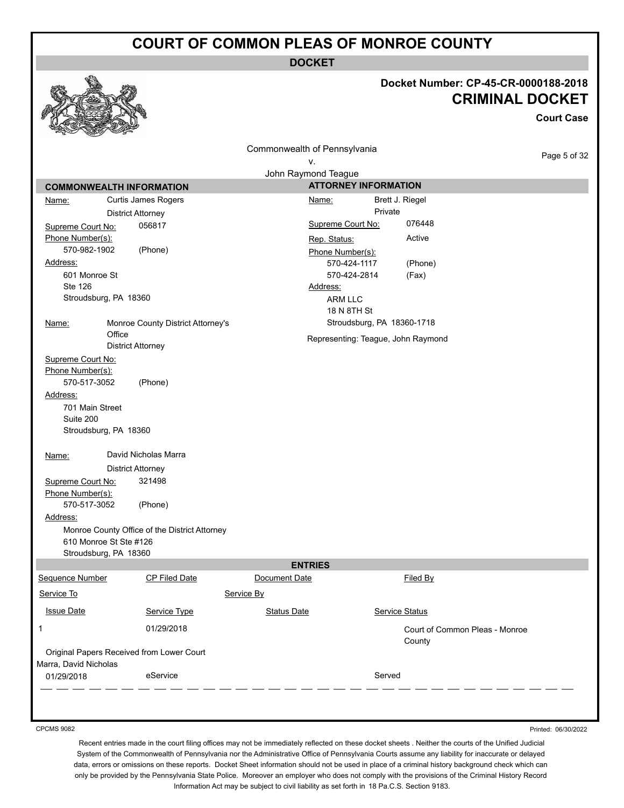**DOCKET**

# **Docket Number: CP-45-CR-0000188-2018**

|                                         |                                                                         |                              |                             | <b>CRIMINAL DOCKET</b><br><b>Court Case</b> |
|-----------------------------------------|-------------------------------------------------------------------------|------------------------------|-----------------------------|---------------------------------------------|
|                                         |                                                                         | Commonwealth of Pennsylvania |                             |                                             |
|                                         |                                                                         | ٧.                           |                             | Page 5 of 32                                |
|                                         |                                                                         | John Raymond Teague          |                             |                                             |
|                                         | <b>COMMONWEALTH INFORMATION</b>                                         |                              | <b>ATTORNEY INFORMATION</b> |                                             |
| Name:                                   | Curtis James Rogers                                                     | Name:                        |                             | Brett J. Riegel                             |
|                                         | <b>District Attorney</b>                                                |                              | Private                     |                                             |
| Supreme Court No:                       | 056817                                                                  | Supreme Court No:            |                             | 076448                                      |
| Phone Number(s):                        |                                                                         | Rep. Status:                 |                             | Active                                      |
| 570-982-1902                            | (Phone)                                                                 | Phone Number(s):             |                             |                                             |
| Address:                                |                                                                         |                              | 570-424-1117                | (Phone)                                     |
| 601 Monroe St                           |                                                                         |                              | 570-424-2814                | (Fax)                                       |
| <b>Ste 126</b><br>Stroudsburg, PA 18360 |                                                                         | Address:                     |                             |                                             |
|                                         |                                                                         | <b>ARM LLC</b>               | 18 N 8TH St                 |                                             |
| Name:                                   | Monroe County District Attorney's                                       |                              | Stroudsburg, PA 18360-1718  |                                             |
|                                         | Office                                                                  |                              |                             |                                             |
|                                         | <b>District Attorney</b>                                                |                              |                             | Representing: Teague, John Raymond          |
| Supreme Court No:                       |                                                                         |                              |                             |                                             |
| Phone Number(s):<br>570-517-3052        | (Phone)                                                                 |                              |                             |                                             |
| Address:<br>701 Main Street             |                                                                         |                              |                             |                                             |
| Suite 200<br>Stroudsburg, PA 18360      |                                                                         |                              |                             |                                             |
| Name:                                   | David Nicholas Marra                                                    |                              |                             |                                             |
|                                         | <b>District Attorney</b>                                                |                              |                             |                                             |
| Supreme Court No:<br>Phone Number(s):   | 321498                                                                  |                              |                             |                                             |
| 570-517-3052<br>Address:                | (Phone)                                                                 |                              |                             |                                             |
|                                         | Monroe County Office of the District Attorney<br>610 Monroe St Ste #126 |                              |                             |                                             |
| Stroudsburg, PA 18360                   |                                                                         |                              |                             |                                             |
|                                         |                                                                         | <b>ENTRIES</b>               |                             |                                             |
| <b>Sequence Number</b>                  | <b>CP Filed Date</b>                                                    | Document Date                |                             | Filed By                                    |
| Service To                              |                                                                         | Service By                   |                             |                                             |
| <b>Issue Date</b>                       | Service Type                                                            | <b>Status Date</b>           |                             | Service Status                              |
| 1                                       | 01/29/2018                                                              |                              |                             | Court of Common Pleas - Monroe<br>County    |
| Marra, David Nicholas                   | Original Papers Received from Lower Court                               |                              |                             |                                             |
| 01/29/2018                              | eService                                                                |                              | Served                      |                                             |
|                                         |                                                                         |                              |                             |                                             |

CPCMS 9082

 $\mathbb{Q}$ 

**Address** 

Printed: 06/30/2022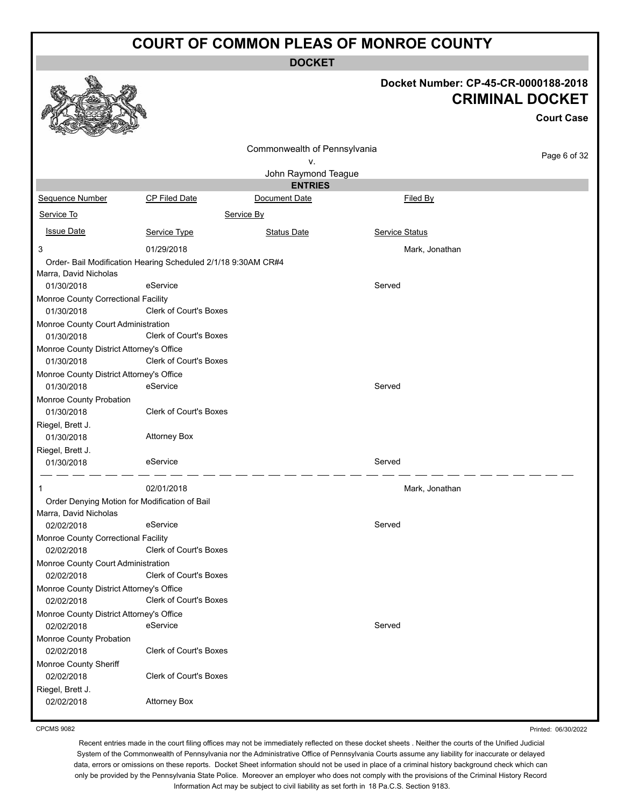**DOCKET**

|                                                                        |                                                               | DUUNE I                      |                                      |                                             |
|------------------------------------------------------------------------|---------------------------------------------------------------|------------------------------|--------------------------------------|---------------------------------------------|
|                                                                        |                                                               |                              | Docket Number: CP-45-CR-0000188-2018 | <b>CRIMINAL DOCKET</b><br><b>Court Case</b> |
|                                                                        |                                                               | Commonwealth of Pennsylvania |                                      |                                             |
|                                                                        |                                                               | ٧.                           |                                      | Page 6 of 32                                |
|                                                                        |                                                               | John Raymond Teague          |                                      |                                             |
|                                                                        |                                                               | <b>ENTRIES</b>               |                                      |                                             |
| Sequence Number                                                        | CP Filed Date                                                 | Document Date                | Filed By                             |                                             |
| Service To                                                             |                                                               | Service By                   |                                      |                                             |
| <b>Issue Date</b>                                                      | Service Type                                                  | <b>Status Date</b>           | Service Status                       |                                             |
| 3                                                                      | 01/29/2018                                                    |                              | Mark, Jonathan                       |                                             |
| Marra, David Nicholas                                                  | Order- Bail Modification Hearing Scheduled 2/1/18 9:30AM CR#4 |                              |                                      |                                             |
| 01/30/2018                                                             | eService                                                      |                              | Served                               |                                             |
| Monroe County Correctional Facility<br>01/30/2018                      | Clerk of Court's Boxes                                        |                              |                                      |                                             |
| Monroe County Court Administration<br>01/30/2018                       | Clerk of Court's Boxes                                        |                              |                                      |                                             |
| Monroe County District Attorney's Office<br>01/30/2018                 | Clerk of Court's Boxes                                        |                              |                                      |                                             |
| Monroe County District Attorney's Office<br>01/30/2018                 | eService                                                      |                              | Served                               |                                             |
| Monroe County Probation<br>01/30/2018                                  | <b>Clerk of Court's Boxes</b>                                 |                              |                                      |                                             |
| Riegel, Brett J.<br>01/30/2018                                         | <b>Attorney Box</b>                                           |                              |                                      |                                             |
| Riegel, Brett J.<br>01/30/2018                                         | eService                                                      |                              | Served                               |                                             |
|                                                                        | 02/01/2018                                                    |                              | Mark, Jonathan                       |                                             |
| Order Denying Motion for Modification of Bail<br>Marra, David Nicholas |                                                               |                              |                                      |                                             |
| 02/02/2018                                                             | eService                                                      |                              | Served                               |                                             |
| Monroe County Correctional Facility<br>02/02/2018                      | Clerk of Court's Boxes                                        |                              |                                      |                                             |
| Monroe County Court Administration<br>02/02/2018                       | <b>Clerk of Court's Boxes</b>                                 |                              |                                      |                                             |
| Monroe County District Attorney's Office<br>02/02/2018                 | Clerk of Court's Boxes                                        |                              |                                      |                                             |
| Monroe County District Attorney's Office                               |                                                               |                              |                                      |                                             |
| 02/02/2018                                                             | eService                                                      |                              | Served                               |                                             |
| Monroe County Probation<br>02/02/2018                                  | Clerk of Court's Boxes                                        |                              |                                      |                                             |
| Monroe County Sheriff<br>02/02/2018                                    | <b>Clerk of Court's Boxes</b>                                 |                              |                                      |                                             |
| Riegel, Brett J.<br>02/02/2018                                         | <b>Attorney Box</b>                                           |                              |                                      |                                             |

CPCMS 9082

Recent entries made in the court filing offices may not be immediately reflected on these docket sheets . Neither the courts of the Unified Judicial System of the Commonwealth of Pennsylvania nor the Administrative Office of Pennsylvania Courts assume any liability for inaccurate or delayed data, errors or omissions on these reports. Docket Sheet information should not be used in place of a criminal history background check which can only be provided by the Pennsylvania State Police. Moreover an employer who does not comply with the provisions of the Criminal History Record Information Act may be subject to civil liability as set forth in 18 Pa.C.S. Section 9183.

Printed: 06/30/2022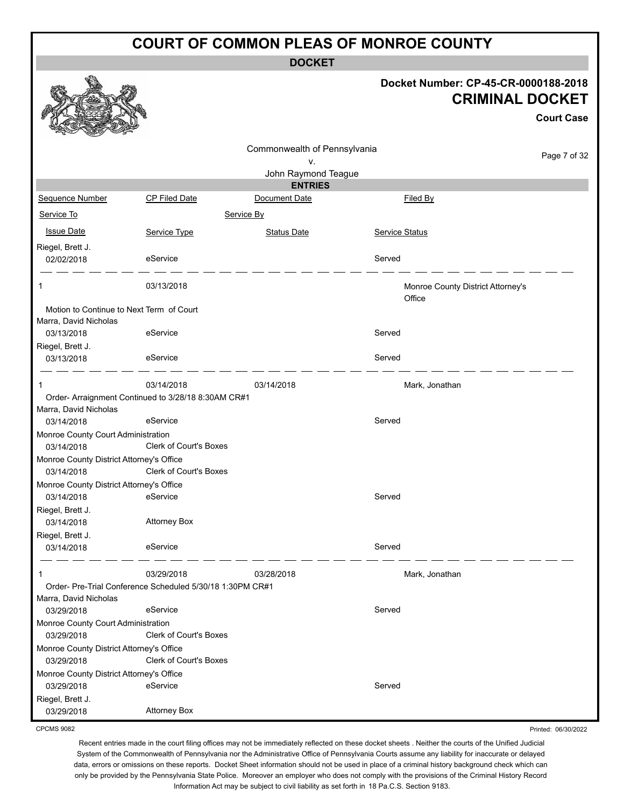**DOCKET**

|                                                                   |                                                           |                                       |                | Docket Number: CP-45-CR-0000188-2018<br><b>CRIMINAL DOCKET</b> | <b>Court Case</b> |
|-------------------------------------------------------------------|-----------------------------------------------------------|---------------------------------------|----------------|----------------------------------------------------------------|-------------------|
|                                                                   |                                                           | Commonwealth of Pennsylvania          |                |                                                                | Page 7 of 32      |
|                                                                   |                                                           | ν.                                    |                |                                                                |                   |
|                                                                   |                                                           | John Raymond Teague<br><b>ENTRIES</b> |                |                                                                |                   |
| <b>Sequence Number</b>                                            | <b>CP Filed Date</b>                                      | Document Date                         |                | Filed By                                                       |                   |
| Service To                                                        |                                                           | Service By                            |                |                                                                |                   |
|                                                                   |                                                           |                                       |                |                                                                |                   |
| <b>Issue Date</b>                                                 | Service Type                                              | <b>Status Date</b>                    | Service Status |                                                                |                   |
| Riegel, Brett J.<br>02/02/2018                                    | eService                                                  |                                       | Served         |                                                                |                   |
| 1                                                                 | 03/13/2018                                                |                                       |                | Monroe County District Attorney's<br>Office                    |                   |
| Motion to Continue to Next Term of Court<br>Marra, David Nicholas |                                                           |                                       |                |                                                                |                   |
| 03/13/2018                                                        | eService                                                  |                                       | Served         |                                                                |                   |
| Riegel, Brett J.<br>03/13/2018                                    | eService                                                  |                                       | Served         |                                                                |                   |
| 1                                                                 | 03/14/2018                                                | 03/14/2018                            |                | Mark, Jonathan                                                 |                   |
| Marra, David Nicholas                                             | Order- Arraignment Continued to 3/28/18 8:30AM CR#1       |                                       |                |                                                                |                   |
| 03/14/2018                                                        | eService                                                  |                                       | Served         |                                                                |                   |
| Monroe County Court Administration                                |                                                           |                                       |                |                                                                |                   |
| 03/14/2018                                                        | <b>Clerk of Court's Boxes</b>                             |                                       |                |                                                                |                   |
| Monroe County District Attorney's Office                          |                                                           |                                       |                |                                                                |                   |
| 03/14/2018                                                        | <b>Clerk of Court's Boxes</b>                             |                                       |                |                                                                |                   |
| Monroe County District Attorney's Office                          |                                                           |                                       |                |                                                                |                   |
| 03/14/2018                                                        | eService                                                  |                                       | Served         |                                                                |                   |
| Riegel, Brett J.<br>03/14/2018                                    | <b>Attorney Box</b>                                       |                                       |                |                                                                |                   |
| Riegel, Brett J.                                                  |                                                           |                                       |                |                                                                |                   |
| 03/14/2018                                                        | eService                                                  |                                       | Served         |                                                                |                   |
|                                                                   | 03/29/2018                                                | 03/28/2018                            |                | Mark, Jonathan                                                 |                   |
| Marra, David Nicholas                                             | Order- Pre-Trial Conference Scheduled 5/30/18 1:30PM CR#1 |                                       |                |                                                                |                   |
| 03/29/2018                                                        | eService                                                  |                                       | Served         |                                                                |                   |
| Monroe County Court Administration                                |                                                           |                                       |                |                                                                |                   |
| 03/29/2018                                                        | <b>Clerk of Court's Boxes</b>                             |                                       |                |                                                                |                   |
| Monroe County District Attorney's Office                          |                                                           |                                       |                |                                                                |                   |
| 03/29/2018                                                        | <b>Clerk of Court's Boxes</b>                             |                                       |                |                                                                |                   |
| Monroe County District Attorney's Office<br>03/29/2018            | eService                                                  |                                       | Served         |                                                                |                   |
| Riegel, Brett J.                                                  |                                                           |                                       |                |                                                                |                   |
| 03/29/2018                                                        | <b>Attorney Box</b>                                       |                                       |                |                                                                |                   |

CPCMS 9082

Recent entries made in the court filing offices may not be immediately reflected on these docket sheets . Neither the courts of the Unified Judicial System of the Commonwealth of Pennsylvania nor the Administrative Office of Pennsylvania Courts assume any liability for inaccurate or delayed data, errors or omissions on these reports. Docket Sheet information should not be used in place of a criminal history background check which can only be provided by the Pennsylvania State Police. Moreover an employer who does not comply with the provisions of the Criminal History Record Information Act may be subject to civil liability as set forth in 18 Pa.C.S. Section 9183.

Printed: 06/30/2022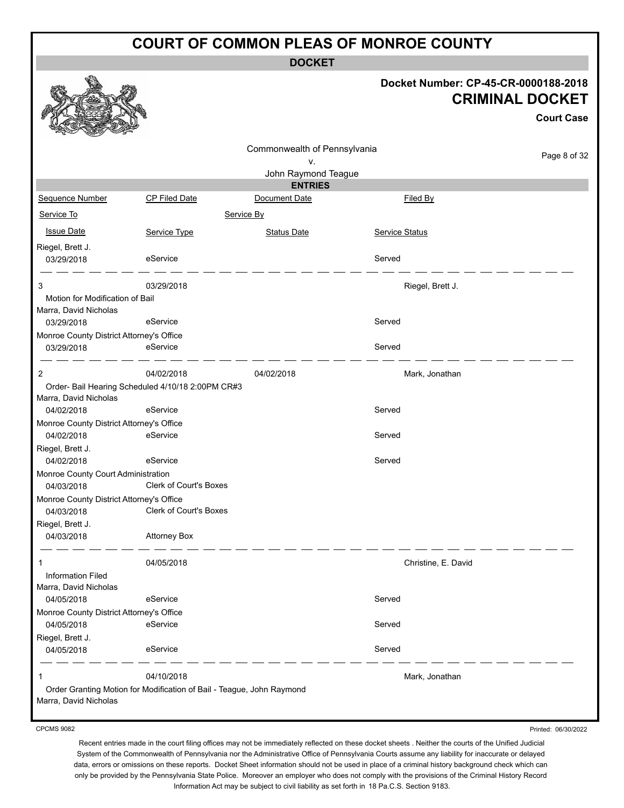**DOCKET**

#### **Docket Number: CP-45-CR-0000188-2018 CRIMINAL DOCKET**

|                                                        |                                                                       |                              |                       | <b>Court Case</b> |
|--------------------------------------------------------|-----------------------------------------------------------------------|------------------------------|-----------------------|-------------------|
|                                                        |                                                                       | Commonwealth of Pennsylvania |                       | Page 8 of 32      |
|                                                        |                                                                       | ٧.<br>John Raymond Teague    |                       |                   |
|                                                        |                                                                       | <b>ENTRIES</b>               |                       |                   |
| Sequence Number                                        | <b>CP Filed Date</b>                                                  | Document Date                | Filed By              |                   |
| Service To                                             |                                                                       | Service By                   |                       |                   |
| <b>Issue Date</b>                                      | Service Type                                                          | <b>Status Date</b>           | <b>Service Status</b> |                   |
| Riegel, Brett J.                                       |                                                                       |                              |                       |                   |
| 03/29/2018                                             | eService                                                              |                              | Served                |                   |
| 3                                                      | 03/29/2018                                                            |                              | Riegel, Brett J.      |                   |
| Motion for Modification of Bail                        |                                                                       |                              |                       |                   |
| Marra, David Nicholas                                  |                                                                       |                              |                       |                   |
| 03/29/2018                                             | eService                                                              |                              | Served                |                   |
| Monroe County District Attorney's Office<br>03/29/2018 | eService                                                              |                              | Served                |                   |
|                                                        |                                                                       |                              |                       |                   |
| 2                                                      | 04/02/2018                                                            | 04/02/2018                   | Mark, Jonathan        |                   |
|                                                        | Order- Bail Hearing Scheduled 4/10/18 2:00PM CR#3                     |                              |                       |                   |
| Marra, David Nicholas                                  |                                                                       |                              |                       |                   |
| 04/02/2018                                             | eService                                                              |                              | Served                |                   |
| Monroe County District Attorney's Office<br>04/02/2018 | eService                                                              |                              | Served                |                   |
| Riegel, Brett J.                                       |                                                                       |                              |                       |                   |
| 04/02/2018                                             | eService                                                              |                              | Served                |                   |
| Monroe County Court Administration                     |                                                                       |                              |                       |                   |
| 04/03/2018                                             | <b>Clerk of Court's Boxes</b>                                         |                              |                       |                   |
| Monroe County District Attorney's Office<br>04/03/2018 | <b>Clerk of Court's Boxes</b>                                         |                              |                       |                   |
| Riegel, Brett J.                                       |                                                                       |                              |                       |                   |
| 04/03/2018                                             | <b>Attorney Box</b>                                                   |                              |                       |                   |
|                                                        |                                                                       |                              |                       |                   |
| 1                                                      | 04/05/2018                                                            |                              | Christine, E. David   |                   |
| Information Filed<br>Marra, David Nicholas             |                                                                       |                              |                       |                   |
| 04/05/2018                                             | eService                                                              |                              | Served                |                   |
| Monroe County District Attorney's Office               |                                                                       |                              |                       |                   |
| 04/05/2018                                             | eService                                                              |                              | Served                |                   |
| Riegel, Brett J.                                       |                                                                       |                              |                       |                   |
| 04/05/2018                                             | eService                                                              |                              | Served                |                   |
|                                                        | 04/10/2018                                                            |                              | Mark, Jonathan        |                   |
|                                                        | Order Granting Motion for Modification of Bail - Teague, John Raymond |                              |                       |                   |
| Marra, David Nicholas                                  |                                                                       |                              |                       |                   |

CPCMS 9082

Printed: 06/30/2022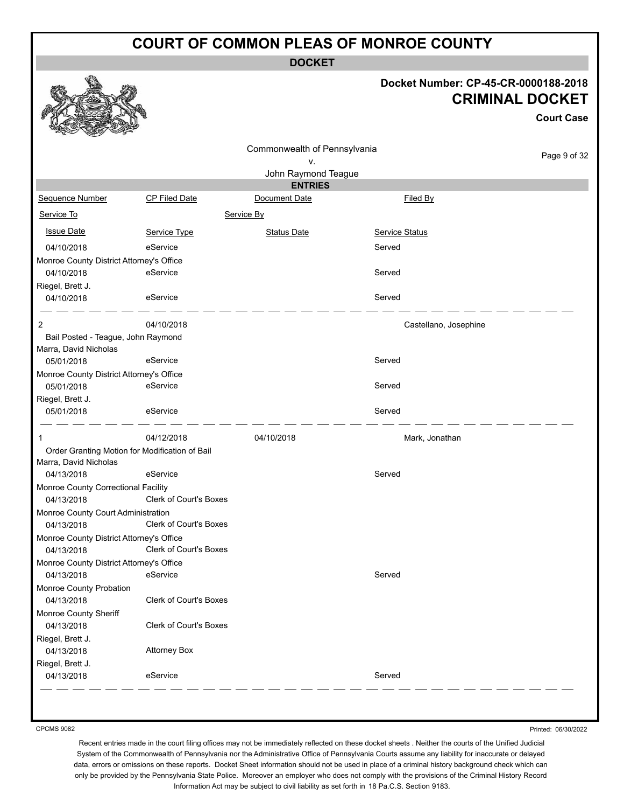**DOCKET**

#### **Docket Number: CP-45-CR-0000188-2018 CRIMINAL DOCKET**

**Court Case**

Page 9 of 32

|                                          |                                                |                              | <b>CRIM</b>           |
|------------------------------------------|------------------------------------------------|------------------------------|-----------------------|
|                                          |                                                | Commonwealth of Pennsylvania |                       |
|                                          |                                                | ν.                           |                       |
|                                          |                                                | John Raymond Teague          |                       |
|                                          |                                                | <b>ENTRIES</b>               |                       |
| Sequence Number                          | <b>CP Filed Date</b>                           | Document Date                | Filed By              |
| Service To                               |                                                | Service By                   |                       |
| <b>Issue Date</b>                        | Service Type                                   | <b>Status Date</b>           | Service Status        |
| 04/10/2018                               | eService                                       |                              | Served                |
| Monroe County District Attorney's Office |                                                |                              |                       |
| 04/10/2018                               | eService                                       |                              | Served                |
| Riegel, Brett J.                         |                                                |                              |                       |
| 04/10/2018                               | eService                                       |                              | Served                |
| $\overline{2}$                           | 04/10/2018                                     |                              | Castellano, Josephine |
| Bail Posted - Teague, John Raymond       |                                                |                              |                       |
| Marra, David Nicholas                    |                                                |                              |                       |
| 05/01/2018                               | eService                                       |                              | Served                |
| Monroe County District Attorney's Office |                                                |                              |                       |
| 05/01/2018                               | eService                                       |                              | Served                |
| Riegel, Brett J.                         |                                                |                              |                       |
| 05/01/2018                               | eService                                       |                              | Served                |
| 1                                        | 04/12/2018                                     | 04/10/2018                   | Mark, Jonathan        |
|                                          | Order Granting Motion for Modification of Bail |                              |                       |
| Marra, David Nicholas                    |                                                |                              |                       |
| 04/13/2018                               | eService                                       |                              | Served                |
| Monroe County Correctional Facility      |                                                |                              |                       |
| 04/13/2018                               | Clerk of Court's Boxes                         |                              |                       |

04/13/2018 Clerk of Court's Boxes Monroe County Sheriff 04/13/2018 Clerk of Court's Boxes Riegel, Brett J. 04/13/2018 Attorney Box Riegel, Brett J. 04/13/2018 eService Served

04/13/2018 eService Served

Monroe County Court Administration

I.

成

线点

Monroe County District Attorney's Office

Monroe County District Attorney's Office

Monroe County Probation

CPCMS 9082

04/13/2018 Clerk of Court's Boxes

04/13/2018 Clerk of Court's Boxes

Printed: 06/30/2022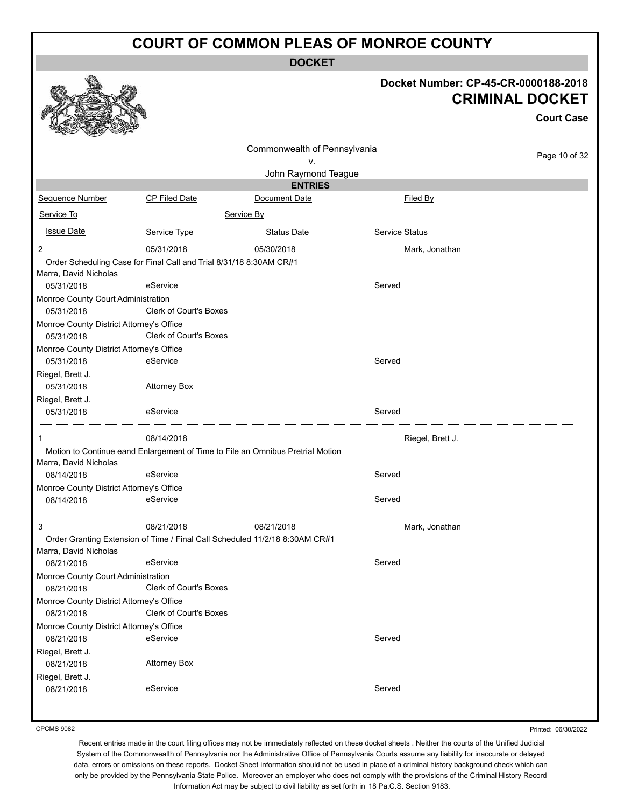**DOCKET**

# **Docket Number: CP-45-CR-0000188-2018 CRIMINAL DOCKET**

|                                                        |                                                                    |                                                                                | URIMINAL DUUNE I<br><b>Court Case</b> |               |  |
|--------------------------------------------------------|--------------------------------------------------------------------|--------------------------------------------------------------------------------|---------------------------------------|---------------|--|
|                                                        |                                                                    | Commonwealth of Pennsylvania<br>۷.                                             |                                       | Page 10 of 32 |  |
|                                                        |                                                                    | John Raymond Teague                                                            |                                       |               |  |
|                                                        |                                                                    | <b>ENTRIES</b>                                                                 |                                       |               |  |
| <b>Sequence Number</b>                                 | CP Filed Date                                                      | Document Date                                                                  | Filed By                              |               |  |
| Service To                                             |                                                                    | Service By                                                                     |                                       |               |  |
| <b>Issue Date</b>                                      | Service Type                                                       | <b>Status Date</b>                                                             | Service Status                        |               |  |
| $\overline{c}$                                         | 05/31/2018                                                         | 05/30/2018                                                                     | Mark, Jonathan                        |               |  |
| Marra, David Nicholas                                  | Order Scheduling Case for Final Call and Trial 8/31/18 8:30AM CR#1 |                                                                                |                                       |               |  |
| 05/31/2018                                             | eService                                                           |                                                                                | Served                                |               |  |
| Monroe County Court Administration<br>05/31/2018       | Clerk of Court's Boxes                                             |                                                                                |                                       |               |  |
| Monroe County District Attorney's Office<br>05/31/2018 | Clerk of Court's Boxes                                             |                                                                                |                                       |               |  |
| Monroe County District Attorney's Office<br>05/31/2018 | eService                                                           |                                                                                | Served                                |               |  |
| Riegel, Brett J.<br>05/31/2018                         | <b>Attorney Box</b>                                                |                                                                                |                                       |               |  |
| Riegel, Brett J.<br>05/31/2018                         | eService                                                           |                                                                                | Served                                |               |  |
| 1                                                      | 08/14/2018                                                         |                                                                                | Riegel, Brett J.                      |               |  |
| Marra, David Nicholas                                  |                                                                    | Motion to Continue eand Enlargement of Time to File an Omnibus Pretrial Motion |                                       |               |  |
| 08/14/2018                                             | eService                                                           |                                                                                | Served                                |               |  |
| Monroe County District Attorney's Office<br>08/14/2018 | eService                                                           |                                                                                | Served                                |               |  |
| 3                                                      | 08/21/2018                                                         | 08/21/2018                                                                     | Mark, Jonathan                        |               |  |
| Marra, David Nicholas                                  |                                                                    | Order Granting Extension of Time / Final Call Scheduled 11/2/18 8:30AM CR#1    |                                       |               |  |
| 08/21/2018                                             | eService                                                           |                                                                                | Served                                |               |  |
| Monroe County Court Administration<br>08/21/2018       | Clerk of Court's Boxes                                             |                                                                                |                                       |               |  |
| Monroe County District Attorney's Office               |                                                                    |                                                                                |                                       |               |  |
| 08/21/2018                                             | Clerk of Court's Boxes                                             |                                                                                |                                       |               |  |
| Monroe County District Attorney's Office               |                                                                    |                                                                                |                                       |               |  |
| 08/21/2018                                             | eService                                                           |                                                                                | Served                                |               |  |
| Riegel, Brett J.<br>08/21/2018                         | <b>Attorney Box</b>                                                |                                                                                |                                       |               |  |
| Riegel, Brett J.                                       |                                                                    |                                                                                |                                       |               |  |
| 08/21/2018                                             | eService                                                           |                                                                                | Served                                |               |  |

CPCMS 9082

a An

Printed: 06/30/2022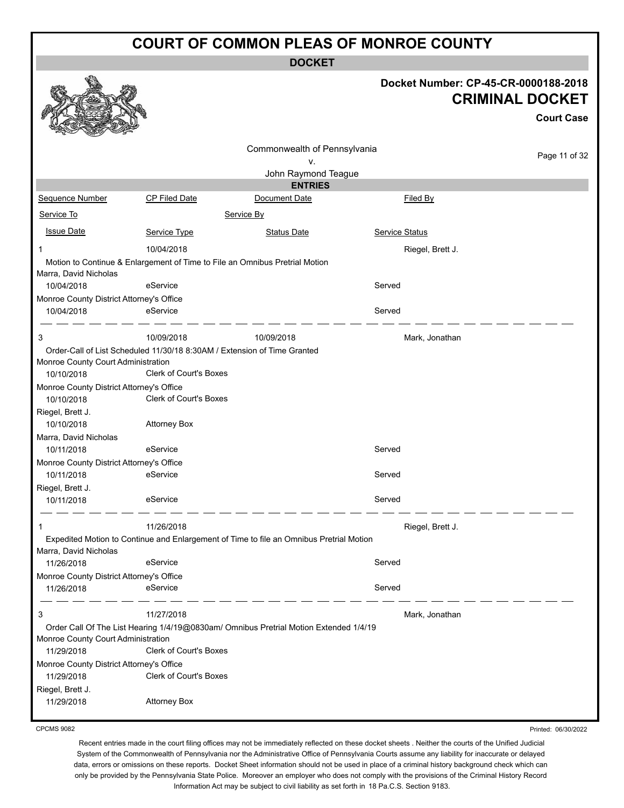**DOCKET**

|                                          |                                                                             |                                                                                         | Docket Number: CP-45-CR-0000188-2018<br><b>CRIMINAL DOCKET</b> |                   |  |
|------------------------------------------|-----------------------------------------------------------------------------|-----------------------------------------------------------------------------------------|----------------------------------------------------------------|-------------------|--|
|                                          |                                                                             |                                                                                         |                                                                | <b>Court Case</b> |  |
|                                          |                                                                             | Commonwealth of Pennsylvania                                                            |                                                                |                   |  |
|                                          |                                                                             | ۷.                                                                                      |                                                                | Page 11 of 32     |  |
|                                          |                                                                             | John Raymond Teague                                                                     |                                                                |                   |  |
|                                          |                                                                             | <b>ENTRIES</b>                                                                          |                                                                |                   |  |
| <b>Sequence Number</b>                   | <b>CP Filed Date</b>                                                        | Document Date                                                                           | Filed By                                                       |                   |  |
| Service To                               |                                                                             | Service By                                                                              |                                                                |                   |  |
| <b>Issue Date</b>                        | Service Type                                                                | <b>Status Date</b>                                                                      | <b>Service Status</b>                                          |                   |  |
| 1                                        | 10/04/2018                                                                  |                                                                                         | Riegel, Brett J.                                               |                   |  |
|                                          | Motion to Continue & Enlargement of Time to File an Omnibus Pretrial Motion |                                                                                         |                                                                |                   |  |
| Marra, David Nicholas                    |                                                                             |                                                                                         |                                                                |                   |  |
| 10/04/2018                               | eService                                                                    |                                                                                         | Served                                                         |                   |  |
| Monroe County District Attorney's Office |                                                                             |                                                                                         |                                                                |                   |  |
| 10/04/2018                               | eService                                                                    |                                                                                         | Served                                                         |                   |  |
| 3                                        | 10/09/2018                                                                  | 10/09/2018                                                                              | Mark, Jonathan                                                 |                   |  |
|                                          | Order-Call of List Scheduled 11/30/18 8:30AM / Extension of Time Granted    |                                                                                         |                                                                |                   |  |
| Monroe County Court Administration       |                                                                             |                                                                                         |                                                                |                   |  |
| 10/10/2018                               | Clerk of Court's Boxes                                                      |                                                                                         |                                                                |                   |  |
| Monroe County District Attorney's Office |                                                                             |                                                                                         |                                                                |                   |  |
| 10/10/2018                               | <b>Clerk of Court's Boxes</b>                                               |                                                                                         |                                                                |                   |  |
| Riegel, Brett J.                         |                                                                             |                                                                                         |                                                                |                   |  |
| 10/10/2018                               | <b>Attorney Box</b>                                                         |                                                                                         |                                                                |                   |  |
| Marra, David Nicholas                    |                                                                             |                                                                                         |                                                                |                   |  |
| 10/11/2018                               | eService                                                                    |                                                                                         | Served                                                         |                   |  |
| Monroe County District Attorney's Office |                                                                             |                                                                                         |                                                                |                   |  |
| 10/11/2018                               | eService                                                                    |                                                                                         | Served                                                         |                   |  |
| Riegel, Brett J.                         |                                                                             |                                                                                         |                                                                |                   |  |
| 10/11/2018                               | eService                                                                    |                                                                                         | Served                                                         |                   |  |
|                                          | 11/26/2018                                                                  |                                                                                         |                                                                |                   |  |
| 1                                        |                                                                             |                                                                                         | Riegel, Brett J.                                               |                   |  |
| Marra, David Nicholas                    |                                                                             | Expedited Motion to Continue and Enlargement of Time to file an Omnibus Pretrial Motion |                                                                |                   |  |
| 11/26/2018                               | eService                                                                    |                                                                                         | Served                                                         |                   |  |
| Monroe County District Attorney's Office |                                                                             |                                                                                         |                                                                |                   |  |
| 11/26/2018                               | eService                                                                    |                                                                                         | Served                                                         |                   |  |
|                                          |                                                                             |                                                                                         |                                                                |                   |  |
| 3                                        | 11/27/2018                                                                  |                                                                                         | Mark, Jonathan                                                 |                   |  |
|                                          |                                                                             | Order Call Of The List Hearing 1/4/19@0830am/ Omnibus Pretrial Motion Extended 1/4/19   |                                                                |                   |  |
| Monroe County Court Administration       |                                                                             |                                                                                         |                                                                |                   |  |
| 11/29/2018                               | <b>Clerk of Court's Boxes</b>                                               |                                                                                         |                                                                |                   |  |
| Monroe County District Attorney's Office |                                                                             |                                                                                         |                                                                |                   |  |
| 11/29/2018                               | Clerk of Court's Boxes                                                      |                                                                                         |                                                                |                   |  |
| Riegel, Brett J.                         |                                                                             |                                                                                         |                                                                |                   |  |
| 11/29/2018                               | <b>Attorney Box</b>                                                         |                                                                                         |                                                                |                   |  |
|                                          |                                                                             |                                                                                         |                                                                |                   |  |

CPCMS 9082

**SP** 

Recent entries made in the court filing offices may not be immediately reflected on these docket sheets . Neither the courts of the Unified Judicial System of the Commonwealth of Pennsylvania nor the Administrative Office of Pennsylvania Courts assume any liability for inaccurate or delayed data, errors or omissions on these reports. Docket Sheet information should not be used in place of a criminal history background check which can only be provided by the Pennsylvania State Police. Moreover an employer who does not comply with the provisions of the Criminal History Record Information Act may be subject to civil liability as set forth in 18 Pa.C.S. Section 9183.

Printed: 06/30/2022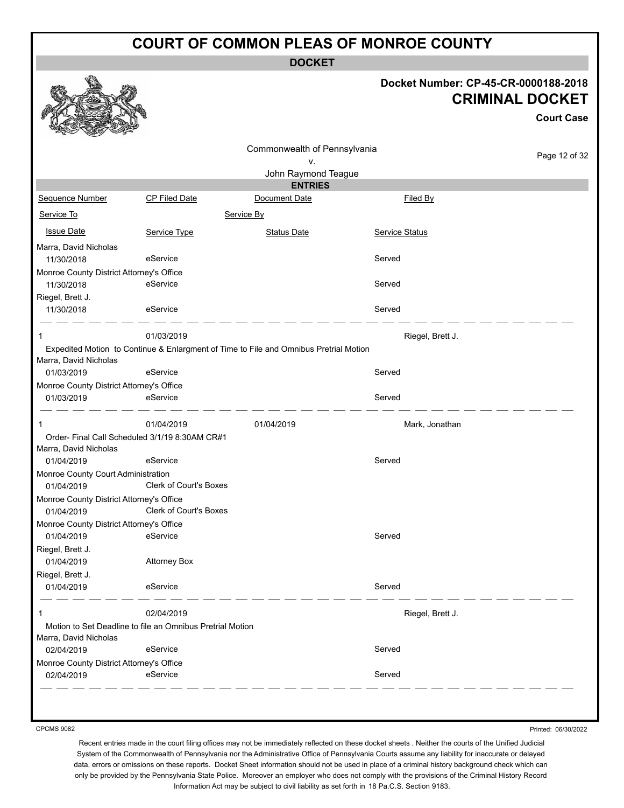**DOCKET**

#### **Docket Number: CP-45-CR-0000188-2018 CRIMINAL DOCKET**

**Court Case**

|                                                        |                                                           |                                                                                       |                  | <b>Court Case</b> |
|--------------------------------------------------------|-----------------------------------------------------------|---------------------------------------------------------------------------------------|------------------|-------------------|
|                                                        |                                                           | Commonwealth of Pennsylvania                                                          |                  |                   |
|                                                        |                                                           | ۷.                                                                                    |                  | Page 12 of 32     |
|                                                        |                                                           | John Raymond Teague                                                                   |                  |                   |
|                                                        |                                                           | <b>ENTRIES</b>                                                                        |                  |                   |
| Sequence Number                                        | <b>CP Filed Date</b>                                      | Document Date                                                                         | Filed By         |                   |
| Service To                                             |                                                           | Service By                                                                            |                  |                   |
| <b>Issue Date</b>                                      | Service Type                                              | <b>Status Date</b>                                                                    | Service Status   |                   |
| Marra, David Nicholas<br>11/30/2018                    | eService                                                  |                                                                                       | Served           |                   |
|                                                        |                                                           |                                                                                       |                  |                   |
| Monroe County District Attorney's Office<br>11/30/2018 | eService                                                  |                                                                                       | Served           |                   |
| Riegel, Brett J.                                       |                                                           |                                                                                       |                  |                   |
| 11/30/2018                                             | eService                                                  |                                                                                       | Served           |                   |
| -1                                                     | 01/03/2019                                                |                                                                                       | Riegel, Brett J. |                   |
|                                                        |                                                           | Expedited Motion to Continue & Enlargment of Time to File and Omnibus Pretrial Motion |                  |                   |
| Marra, David Nicholas                                  |                                                           |                                                                                       |                  |                   |
| 01/03/2019                                             | eService                                                  |                                                                                       | Served           |                   |
| Monroe County District Attorney's Office<br>01/03/2019 | eService                                                  |                                                                                       | Served           |                   |
|                                                        |                                                           |                                                                                       |                  |                   |
| 1                                                      | 01/04/2019                                                | 01/04/2019                                                                            | Mark, Jonathan   |                   |
|                                                        | Order- Final Call Scheduled 3/1/19 8:30AM CR#1            |                                                                                       |                  |                   |
| Marra, David Nicholas                                  |                                                           |                                                                                       |                  |                   |
| 01/04/2019                                             | eService                                                  |                                                                                       | Served           |                   |
| Monroe County Court Administration                     |                                                           |                                                                                       |                  |                   |
| 01/04/2019                                             | <b>Clerk of Court's Boxes</b>                             |                                                                                       |                  |                   |
| Monroe County District Attorney's Office               |                                                           |                                                                                       |                  |                   |
| 01/04/2019                                             | Clerk of Court's Boxes                                    |                                                                                       |                  |                   |
| Monroe County District Attorney's Office               |                                                           |                                                                                       |                  |                   |
| 01/04/2019                                             | eService                                                  |                                                                                       | Served           |                   |
| Riegel, Brett J.                                       |                                                           |                                                                                       |                  |                   |
| 01/04/2019                                             | <b>Attorney Box</b>                                       |                                                                                       |                  |                   |
| Riegel, Brett J.                                       |                                                           |                                                                                       |                  |                   |
| 01/04/2019                                             | eService                                                  |                                                                                       | Served           |                   |
| 1                                                      | 02/04/2019                                                |                                                                                       | Riegel, Brett J. |                   |
|                                                        | Motion to Set Deadline to file an Omnibus Pretrial Motion |                                                                                       |                  |                   |
| Marra, David Nicholas                                  |                                                           |                                                                                       |                  |                   |
| 02/04/2019                                             | eService                                                  |                                                                                       | Served           |                   |
| Monroe County District Attorney's Office               |                                                           |                                                                                       |                  |                   |
| 02/04/2019                                             | eService                                                  |                                                                                       | Served           |                   |

CPCMS 9082

Printed: 06/30/2022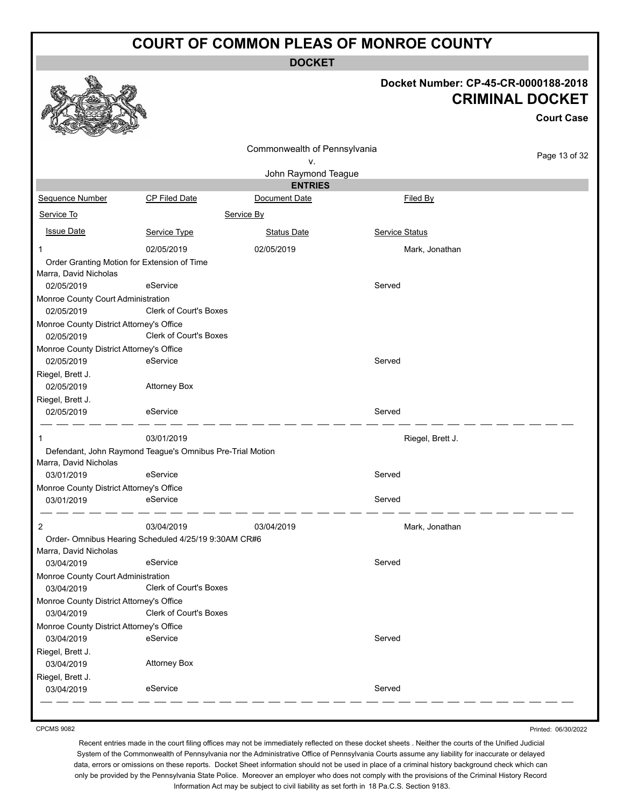**DOCKET**

#### **Docket Number: CP-45-CR-0000188-2018 CRIMINAL DOCKET**

**Court Case**

| Commonwealth of Pennsylvania                     |                                                           |                                       | Page 13 of 32         |  |
|--------------------------------------------------|-----------------------------------------------------------|---------------------------------------|-----------------------|--|
|                                                  |                                                           | ٧.                                    |                       |  |
|                                                  |                                                           | John Raymond Teague<br><b>ENTRIES</b> |                       |  |
| Sequence Number                                  | <b>CP Filed Date</b>                                      | Document Date                         | Filed By              |  |
| Service To                                       |                                                           | Service By                            |                       |  |
| <b>Issue Date</b>                                | Service Type                                              | <b>Status Date</b>                    | <b>Service Status</b> |  |
| 1                                                | 02/05/2019                                                | 02/05/2019                            | Mark, Jonathan        |  |
| Order Granting Motion for Extension of Time      |                                                           |                                       |                       |  |
| Marra, David Nicholas                            |                                                           |                                       |                       |  |
| 02/05/2019                                       | eService                                                  |                                       | Served                |  |
| Monroe County Court Administration<br>02/05/2019 | <b>Clerk of Court's Boxes</b>                             |                                       |                       |  |
| Monroe County District Attorney's Office         |                                                           |                                       |                       |  |
| 02/05/2019                                       | Clerk of Court's Boxes                                    |                                       |                       |  |
| Monroe County District Attorney's Office         |                                                           |                                       |                       |  |
| 02/05/2019                                       | eService                                                  |                                       | Served                |  |
| Riegel, Brett J.                                 |                                                           |                                       |                       |  |
| 02/05/2019                                       | <b>Attorney Box</b>                                       |                                       |                       |  |
| Riegel, Brett J.                                 |                                                           |                                       |                       |  |
| 02/05/2019                                       | eService                                                  |                                       | Served                |  |
| 1                                                | 03/01/2019                                                |                                       | Riegel, Brett J.      |  |
|                                                  | Defendant, John Raymond Teague's Omnibus Pre-Trial Motion |                                       |                       |  |
| Marra, David Nicholas                            |                                                           |                                       |                       |  |
| 03/01/2019                                       | eService                                                  |                                       | Served                |  |
| Monroe County District Attorney's Office         |                                                           |                                       |                       |  |
| 03/01/2019                                       | eService                                                  |                                       | Served                |  |
| 2                                                | 03/04/2019                                                | 03/04/2019                            | Mark, Jonathan        |  |
|                                                  | Order- Omnibus Hearing Scheduled 4/25/19 9:30AM CR#6      |                                       |                       |  |
| Marra, David Nicholas                            |                                                           |                                       |                       |  |
| 03/04/2019                                       | eService                                                  |                                       | Served                |  |
| Monroe County Court Administration<br>03/04/2019 | <b>Clerk of Court's Boxes</b>                             |                                       |                       |  |
| Monroe County District Attorney's Office         |                                                           |                                       |                       |  |
| 03/04/2019                                       | Clerk of Court's Boxes                                    |                                       |                       |  |
| Monroe County District Attorney's Office         |                                                           |                                       |                       |  |
| 03/04/2019                                       | eService                                                  |                                       | Served                |  |
| Riegel, Brett J.                                 |                                                           |                                       |                       |  |
| 03/04/2019                                       | <b>Attorney Box</b>                                       |                                       |                       |  |
| Riegel, Brett J.<br>03/04/2019                   | eService                                                  |                                       | Served                |  |
|                                                  |                                                           |                                       |                       |  |

CPCMS 9082

Printed: 06/30/2022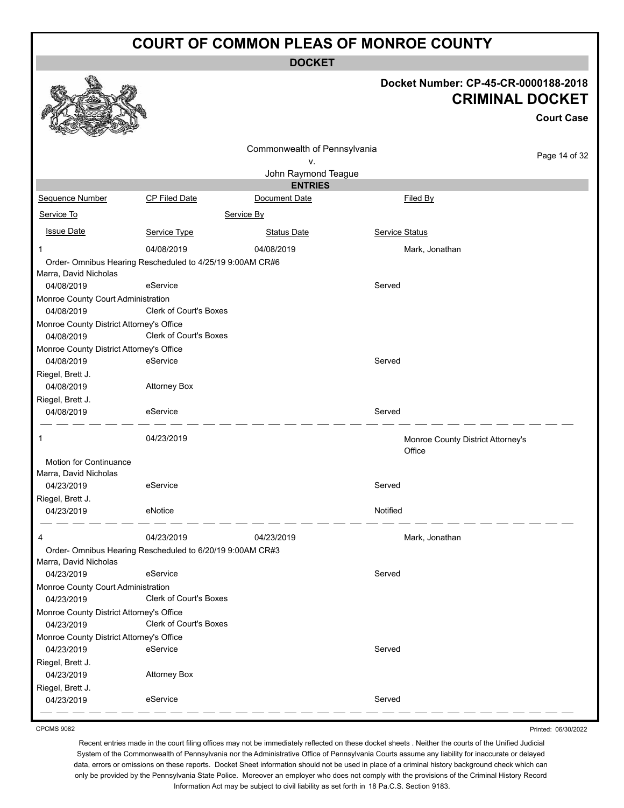**DOCKET**

#### **Docket Number: CP-45-CR-0000188-2018 CRIMINAL DOCKET**

**Court Case**

|                                          |                                                           | Commonwealth of Pennsylvania |                |                                   |
|------------------------------------------|-----------------------------------------------------------|------------------------------|----------------|-----------------------------------|
|                                          |                                                           | v.                           |                | Page 14 of 32                     |
|                                          |                                                           | John Raymond Teague          |                |                                   |
|                                          |                                                           | <b>ENTRIES</b>               |                |                                   |
| Sequence Number                          | CP Filed Date                                             | Document Date                | Filed By       |                                   |
| Service To                               |                                                           | Service By                   |                |                                   |
| <b>Issue Date</b>                        | Service Type                                              | <b>Status Date</b>           | Service Status |                                   |
| 1                                        | 04/08/2019                                                | 04/08/2019                   | Mark, Jonathan |                                   |
|                                          | Order- Omnibus Hearing Rescheduled to 4/25/19 9:00AM CR#6 |                              |                |                                   |
| Marra, David Nicholas                    |                                                           |                              |                |                                   |
| 04/08/2019                               | eService                                                  |                              | Served         |                                   |
| Monroe County Court Administration       |                                                           |                              |                |                                   |
| 04/08/2019                               | <b>Clerk of Court's Boxes</b>                             |                              |                |                                   |
| Monroe County District Attorney's Office |                                                           |                              |                |                                   |
| 04/08/2019                               | <b>Clerk of Court's Boxes</b>                             |                              |                |                                   |
| Monroe County District Attorney's Office |                                                           |                              |                |                                   |
| 04/08/2019                               | eService                                                  |                              | Served         |                                   |
| Riegel, Brett J.                         |                                                           |                              |                |                                   |
| 04/08/2019                               | <b>Attorney Box</b>                                       |                              |                |                                   |
| Riegel, Brett J.                         |                                                           |                              |                |                                   |
| 04/08/2019                               | eService                                                  |                              | Served         |                                   |
| 1                                        | 04/23/2019                                                |                              | Office         | Monroe County District Attorney's |
| <b>Motion for Continuance</b>            |                                                           |                              |                |                                   |
| Marra, David Nicholas                    |                                                           |                              |                |                                   |
| 04/23/2019                               | eService                                                  |                              | Served         |                                   |
| Riegel, Brett J.                         |                                                           |                              |                |                                   |
| 04/23/2019                               | eNotice                                                   |                              | Notified       |                                   |
| 4                                        | 04/23/2019                                                | 04/23/2019                   | Mark, Jonathan |                                   |
|                                          | Order- Omnibus Hearing Rescheduled to 6/20/19 9:00AM CR#3 |                              |                |                                   |
| Marra, David Nicholas                    |                                                           |                              |                |                                   |
| 04/23/2019                               | eService                                                  |                              | Served         |                                   |
| Monroe County Court Administration       |                                                           |                              |                |                                   |
| 04/23/2019                               | <b>Clerk of Court's Boxes</b>                             |                              |                |                                   |
| Monroe County District Attorney's Office |                                                           |                              |                |                                   |
| 04/23/2019                               | Clerk of Court's Boxes                                    |                              |                |                                   |
| Monroe County District Attorney's Office |                                                           |                              |                |                                   |
| 04/23/2019                               | eService                                                  |                              | Served         |                                   |
| Riegel, Brett J.                         |                                                           |                              |                |                                   |
| 04/23/2019                               | <b>Attorney Box</b>                                       |                              |                |                                   |
| Riegel, Brett J.                         |                                                           |                              |                |                                   |
| 04/23/2019                               | eService                                                  |                              | Served         |                                   |

CPCMS 9082

Printed: 06/30/2022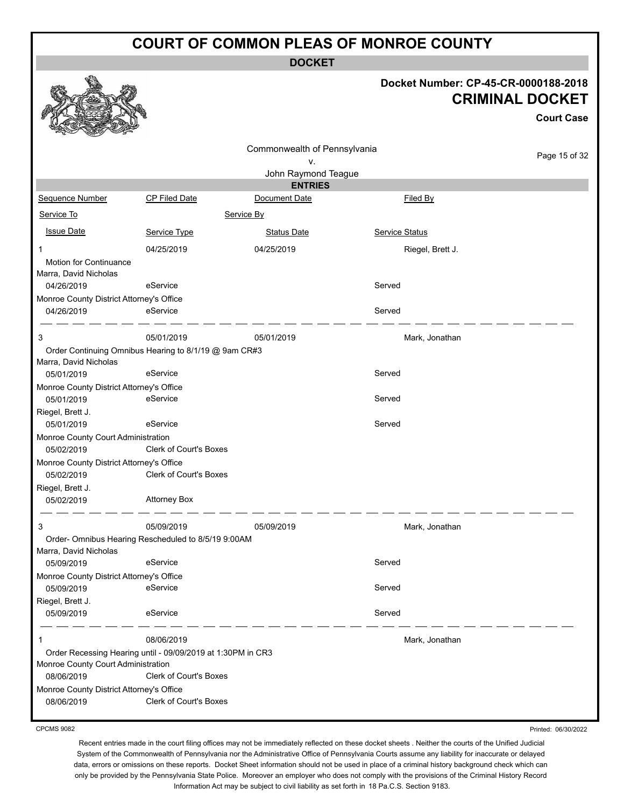**DOCKET**

#### **Docket Number: CP-45-CR-0000188-2018 CRIMINAL DOCKET**

|                                                        |                                                                   |                                    |                       | <b>Court Case</b> |
|--------------------------------------------------------|-------------------------------------------------------------------|------------------------------------|-----------------------|-------------------|
|                                                        |                                                                   | Commonwealth of Pennsylvania<br>٧. |                       | Page 15 of 32     |
|                                                        |                                                                   | John Raymond Teague                |                       |                   |
|                                                        |                                                                   | <b>ENTRIES</b>                     |                       |                   |
| Sequence Number                                        | <b>CP Filed Date</b>                                              | Document Date                      | <b>Filed By</b>       |                   |
| Service To                                             |                                                                   | Service By                         |                       |                   |
| <b>Issue Date</b>                                      | Service Type                                                      | <b>Status Date</b>                 | <b>Service Status</b> |                   |
| 1<br>Motion for Continuance<br>Marra, David Nicholas   | 04/25/2019                                                        | 04/25/2019                         | Riegel, Brett J.      |                   |
| 04/26/2019                                             | eService                                                          |                                    | Served                |                   |
| Monroe County District Attorney's Office<br>04/26/2019 | eService                                                          |                                    | Served                |                   |
| 3                                                      | 05/01/2019                                                        | 05/01/2019                         | Mark, Jonathan        |                   |
| Marra, David Nicholas<br>05/01/2019                    | Order Continuing Omnibus Hearing to 8/1/19 @ 9am CR#3<br>eService |                                    | Served                |                   |
| Monroe County District Attorney's Office               |                                                                   |                                    |                       |                   |
| 05/01/2019                                             | eService                                                          |                                    | Served                |                   |
| Riegel, Brett J.<br>05/01/2019                         | eService                                                          |                                    | Served                |                   |
| Monroe County Court Administration                     |                                                                   |                                    |                       |                   |
| 05/02/2019                                             | <b>Clerk of Court's Boxes</b>                                     |                                    |                       |                   |
| Monroe County District Attorney's Office               |                                                                   |                                    |                       |                   |
| 05/02/2019                                             | <b>Clerk of Court's Boxes</b>                                     |                                    |                       |                   |
| Riegel, Brett J.                                       |                                                                   |                                    |                       |                   |
| 05/02/2019                                             | <b>Attorney Box</b>                                               |                                    |                       |                   |
| 3                                                      | 05/09/2019                                                        | 05/09/2019                         | Mark, Jonathan        |                   |
|                                                        | Order- Omnibus Hearing Rescheduled to 8/5/19 9:00AM               |                                    |                       |                   |
| Marra, David Nicholas<br>05/09/2019                    | eService                                                          |                                    | Served                |                   |
| Monroe County District Attorney's Office<br>05/09/2019 | eService                                                          |                                    | Served                |                   |
| Riegel, Brett J.                                       |                                                                   |                                    |                       |                   |
| 05/09/2019                                             | eService                                                          |                                    | Served                |                   |
|                                                        | 08/06/2019                                                        |                                    | Mark, Jonathan        |                   |
| Monroe County Court Administration                     | Order Recessing Hearing until - 09/09/2019 at 1:30PM in CR3       |                                    |                       |                   |
| 08/06/2019                                             | <b>Clerk of Court's Boxes</b>                                     |                                    |                       |                   |
| Monroe County District Attorney's Office               |                                                                   |                                    |                       |                   |
| 08/06/2019                                             | <b>Clerk of Court's Boxes</b>                                     |                                    |                       |                   |

CPCMS 9082

Printed: 06/30/2022

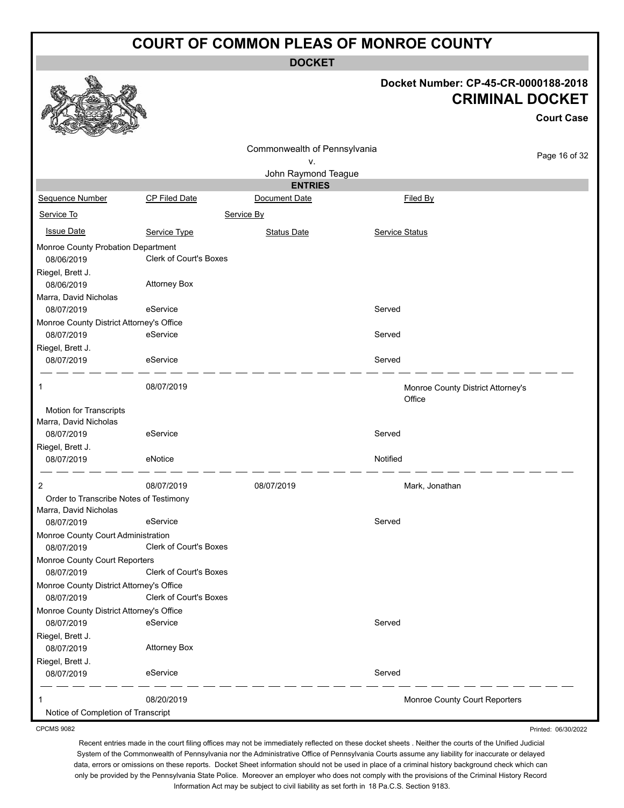**DOCKET**

#### **Docket Number: CP-45-CR-0000188-2018 CRIMINAL DOCKET**

**Court Case**

Printed: 06/30/2022

|                                          |                               |                              |                |                                             | UUUI LUQSU    |
|------------------------------------------|-------------------------------|------------------------------|----------------|---------------------------------------------|---------------|
|                                          |                               | Commonwealth of Pennsylvania |                |                                             |               |
|                                          |                               | ٧.                           |                |                                             | Page 16 of 32 |
|                                          |                               | John Raymond Teague          |                |                                             |               |
|                                          |                               | <b>ENTRIES</b>               |                |                                             |               |
| <b>Sequence Number</b>                   | <b>CP Filed Date</b>          | Document Date                |                | Filed By                                    |               |
| Service To                               |                               | Service By                   |                |                                             |               |
| <b>Issue Date</b>                        | Service Type                  | <b>Status Date</b>           | Service Status |                                             |               |
| Monroe County Probation Department       |                               |                              |                |                                             |               |
| 08/06/2019                               | Clerk of Court's Boxes        |                              |                |                                             |               |
| Riegel, Brett J.                         |                               |                              |                |                                             |               |
| 08/06/2019                               | <b>Attorney Box</b>           |                              |                |                                             |               |
| Marra, David Nicholas                    |                               |                              |                |                                             |               |
| 08/07/2019                               | eService                      |                              | Served         |                                             |               |
| Monroe County District Attorney's Office |                               |                              |                |                                             |               |
| 08/07/2019                               | eService                      |                              | Served         |                                             |               |
| Riegel, Brett J.                         |                               |                              |                |                                             |               |
| 08/07/2019                               | eService                      |                              | Served         |                                             |               |
| 1                                        | 08/07/2019                    |                              |                | Monroe County District Attorney's<br>Office |               |
| Motion for Transcripts                   |                               |                              |                |                                             |               |
| Marra, David Nicholas                    |                               |                              |                |                                             |               |
| 08/07/2019                               | eService                      |                              | Served         |                                             |               |
| Riegel, Brett J.                         |                               |                              |                |                                             |               |
| 08/07/2019                               | eNotice                       |                              | Notified       |                                             |               |
| 2                                        | 08/07/2019                    | 08/07/2019                   |                | Mark, Jonathan                              |               |
| Order to Transcribe Notes of Testimony   |                               |                              |                |                                             |               |
| Marra, David Nicholas                    |                               |                              |                |                                             |               |
| 08/07/2019                               | eService                      |                              | Served         |                                             |               |
| Monroe County Court Administration       |                               |                              |                |                                             |               |
| 08/07/2019                               | <b>Clerk of Court's Boxes</b> |                              |                |                                             |               |
| Monroe County Court Reporters            |                               |                              |                |                                             |               |
| 08/07/2019                               | <b>Clerk of Court's Boxes</b> |                              |                |                                             |               |
| Monroe County District Attorney's Office |                               |                              |                |                                             |               |
| 08/07/2019                               | Clerk of Court's Boxes        |                              |                |                                             |               |
| Monroe County District Attorney's Office |                               |                              |                |                                             |               |
| 08/07/2019                               | eService                      |                              | Served         |                                             |               |
| Riegel, Brett J.                         |                               |                              |                |                                             |               |
| 08/07/2019                               | <b>Attorney Box</b>           |                              |                |                                             |               |
| Riegel, Brett J.                         |                               |                              |                |                                             |               |
| 08/07/2019                               | eService                      |                              | Served         |                                             |               |
|                                          | 08/20/2019                    |                              |                | Monroe County Court Reporters               |               |
| Notice of Completion of Transcript       |                               |                              |                |                                             |               |

CPCMS 9082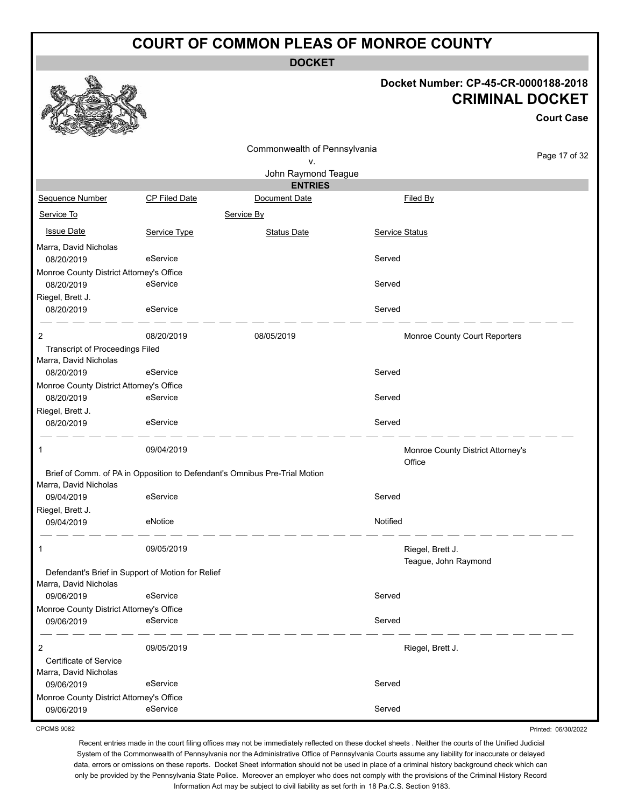**DOCKET**

#### **Docket Number: CP-45-CR-0000188-2018 CRIMINAL DOCKET**

|                                                                 |                                                   |                                                                            |                |                                             | <b>Court Case</b> |
|-----------------------------------------------------------------|---------------------------------------------------|----------------------------------------------------------------------------|----------------|---------------------------------------------|-------------------|
|                                                                 |                                                   | Commonwealth of Pennsylvania<br>۷.                                         |                |                                             | Page 17 of 32     |
|                                                                 |                                                   | John Raymond Teague                                                        |                |                                             |                   |
|                                                                 |                                                   | <b>ENTRIES</b>                                                             |                |                                             |                   |
| Sequence Number                                                 | CP Filed Date                                     | Document Date                                                              |                | Filed By                                    |                   |
| Service To                                                      |                                                   | Service By                                                                 |                |                                             |                   |
| <b>Issue Date</b>                                               | Service Type                                      | <b>Status Date</b>                                                         | Service Status |                                             |                   |
| Marra, David Nicholas<br>08/20/2019                             | eService                                          |                                                                            | Served         |                                             |                   |
| Monroe County District Attorney's Office                        |                                                   |                                                                            |                |                                             |                   |
| 08/20/2019                                                      | eService                                          |                                                                            | Served         |                                             |                   |
| Riegel, Brett J.<br>08/20/2019                                  | eService                                          |                                                                            | Served         |                                             |                   |
| 2                                                               | 08/20/2019                                        | 08/05/2019                                                                 |                | Monroe County Court Reporters               |                   |
| <b>Transcript of Proceedings Filed</b><br>Marra, David Nicholas |                                                   |                                                                            |                |                                             |                   |
| 08/20/2019                                                      | eService                                          |                                                                            | Served         |                                             |                   |
| Monroe County District Attorney's Office                        | eService                                          |                                                                            | Served         |                                             |                   |
| 08/20/2019                                                      |                                                   |                                                                            |                |                                             |                   |
| Riegel, Brett J.<br>08/20/2019                                  | eService                                          |                                                                            | Served         |                                             |                   |
| 1                                                               | 09/04/2019                                        |                                                                            |                | Monroe County District Attorney's<br>Office |                   |
| Marra, David Nicholas                                           |                                                   | Brief of Comm. of PA in Opposition to Defendant's Omnibus Pre-Trial Motion |                |                                             |                   |
| 09/04/2019                                                      | eService                                          |                                                                            | Served         |                                             |                   |
| Riegel, Brett J.                                                |                                                   |                                                                            |                |                                             |                   |
| 09/04/2019                                                      | eNotice                                           |                                                                            | Notified       |                                             |                   |
| 1                                                               | 09/05/2019                                        |                                                                            |                | Riegel, Brett J.<br>Teague, John Raymond    |                   |
| Marra, David Nicholas                                           | Defendant's Brief in Support of Motion for Relief |                                                                            |                |                                             |                   |
| 09/06/2019                                                      | eService                                          |                                                                            | Served         |                                             |                   |
| Monroe County District Attorney's Office                        |                                                   |                                                                            |                |                                             |                   |
| 09/06/2019                                                      | eService                                          |                                                                            | Served         |                                             |                   |
| 2                                                               | 09/05/2019                                        |                                                                            |                | Riegel, Brett J.                            |                   |
| Certificate of Service                                          |                                                   |                                                                            |                |                                             |                   |
| Marra, David Nicholas                                           |                                                   |                                                                            |                |                                             |                   |
| 09/06/2019                                                      | eService                                          |                                                                            | Served         |                                             |                   |
| Monroe County District Attorney's Office<br>09/06/2019          | eService                                          |                                                                            | Served         |                                             |                   |
|                                                                 |                                                   |                                                                            |                |                                             |                   |

CPCMS 9082

Printed: 06/30/2022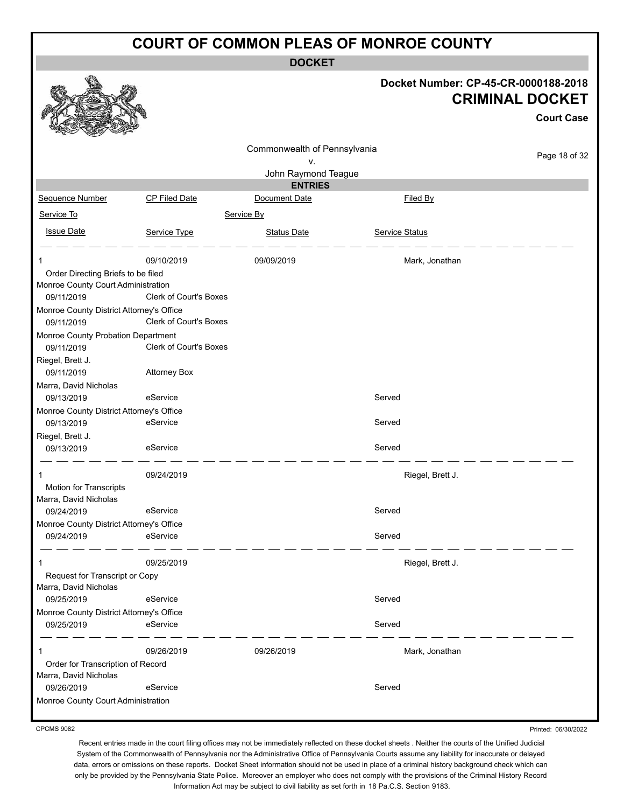**DOCKET**

|                                          |                               |                                    |                  | Docket Number: CP-45-CR-0000188-2018<br><b>CRIMINAL DOCKET</b><br><b>Court Case</b> |
|------------------------------------------|-------------------------------|------------------------------------|------------------|-------------------------------------------------------------------------------------|
|                                          |                               |                                    |                  |                                                                                     |
|                                          |                               | Commonwealth of Pennsylvania<br>۷. |                  | Page 18 of 32                                                                       |
|                                          |                               | John Raymond Teague                |                  |                                                                                     |
|                                          |                               | <b>ENTRIES</b>                     |                  |                                                                                     |
| Sequence Number                          | CP Filed Date                 | Document Date                      | Filed By         |                                                                                     |
| Service To                               |                               | Service By                         |                  |                                                                                     |
| <b>Issue Date</b>                        |                               |                                    |                  |                                                                                     |
|                                          | Service Type                  | <b>Status Date</b>                 | Service Status   |                                                                                     |
|                                          | 09/10/2019                    | 09/09/2019                         | Mark, Jonathan   |                                                                                     |
| Order Directing Briefs to be filed       |                               |                                    |                  |                                                                                     |
| Monroe County Court Administration       |                               |                                    |                  |                                                                                     |
| 09/11/2019                               | <b>Clerk of Court's Boxes</b> |                                    |                  |                                                                                     |
| Monroe County District Attorney's Office |                               |                                    |                  |                                                                                     |
| 09/11/2019                               | <b>Clerk of Court's Boxes</b> |                                    |                  |                                                                                     |
| Monroe County Probation Department       |                               |                                    |                  |                                                                                     |
| 09/11/2019                               | Clerk of Court's Boxes        |                                    |                  |                                                                                     |
| Riegel, Brett J.                         |                               |                                    |                  |                                                                                     |
| 09/11/2019                               | <b>Attorney Box</b>           |                                    |                  |                                                                                     |
| Marra, David Nicholas                    |                               |                                    |                  |                                                                                     |
| 09/13/2019                               | eService                      |                                    | Served           |                                                                                     |
| Monroe County District Attorney's Office |                               |                                    |                  |                                                                                     |
| 09/13/2019                               | eService                      |                                    | Served           |                                                                                     |
| Riegel, Brett J.                         |                               |                                    |                  |                                                                                     |
| 09/13/2019                               | eService                      |                                    | Served           |                                                                                     |
| 1                                        | 09/24/2019                    |                                    | Riegel, Brett J. |                                                                                     |
| <b>Motion for Transcripts</b>            |                               |                                    |                  |                                                                                     |
| Marra, David Nicholas                    |                               |                                    |                  |                                                                                     |
| 09/24/2019                               | eService                      |                                    | Served           |                                                                                     |
| Monroe County District Attorney's Office |                               |                                    |                  |                                                                                     |
| 09/24/2019                               | eService                      |                                    | Served           |                                                                                     |
| 1                                        | 09/25/2019                    |                                    | Riegel, Brett J. |                                                                                     |
| Request for Transcript or Copy           |                               |                                    |                  |                                                                                     |
| Marra, David Nicholas                    |                               |                                    |                  |                                                                                     |
| 09/25/2019                               | eService                      |                                    | Served           |                                                                                     |
| Monroe County District Attorney's Office |                               |                                    |                  |                                                                                     |
| 09/25/2019                               | eService                      |                                    | Served           |                                                                                     |
| 1                                        | 09/26/2019                    | 09/26/2019                         | Mark, Jonathan   |                                                                                     |
| Order for Transcription of Record        |                               |                                    |                  |                                                                                     |
| Marra, David Nicholas                    |                               |                                    |                  |                                                                                     |
| 09/26/2019                               | eService                      |                                    | Served           |                                                                                     |
| Monroe County Court Administration       |                               |                                    |                  |                                                                                     |
|                                          |                               |                                    |                  |                                                                                     |

CPCMS 9082

Printed: 06/30/2022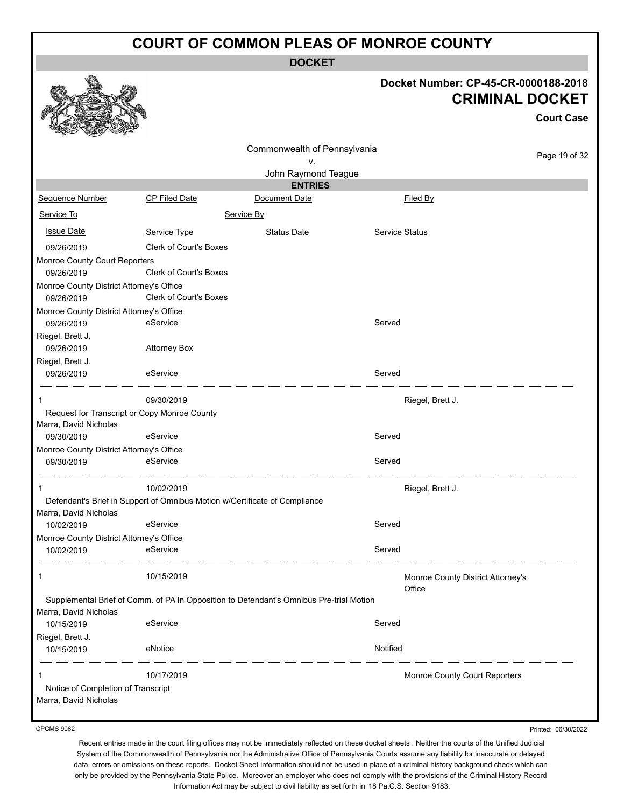**DOCKET**



#### **Docket Number: CP-45-CR-0000188-2018 CRIMINAL DOCKET**

**Court Case**

| ستعملا<br><b>Contract of the Contract of the Contract of the Contract of the Contract of the Contract of The Contract of The Contract of The Contract of The Contract of The Contract of The Contract of The Contract of The Contract of T</b><br>$-2$ |                                                                            |                                                                                         |                       |                                   |               |
|--------------------------------------------------------------------------------------------------------------------------------------------------------------------------------------------------------------------------------------------------------|----------------------------------------------------------------------------|-----------------------------------------------------------------------------------------|-----------------------|-----------------------------------|---------------|
|                                                                                                                                                                                                                                                        |                                                                            | Commonwealth of Pennsylvania                                                            |                       |                                   | Page 19 of 32 |
|                                                                                                                                                                                                                                                        |                                                                            | ٧.                                                                                      |                       |                                   |               |
|                                                                                                                                                                                                                                                        |                                                                            | John Raymond Teague<br><b>ENTRIES</b>                                                   |                       |                                   |               |
| Sequence Number                                                                                                                                                                                                                                        | <b>CP Filed Date</b>                                                       | Document Date                                                                           |                       | Filed By                          |               |
| Service To                                                                                                                                                                                                                                             |                                                                            | Service By                                                                              |                       |                                   |               |
| <b>Issue Date</b>                                                                                                                                                                                                                                      | Service Type                                                               | <b>Status Date</b>                                                                      | <b>Service Status</b> |                                   |               |
| 09/26/2019                                                                                                                                                                                                                                             | <b>Clerk of Court's Boxes</b>                                              |                                                                                         |                       |                                   |               |
| Monroe County Court Reporters                                                                                                                                                                                                                          |                                                                            |                                                                                         |                       |                                   |               |
| 09/26/2019                                                                                                                                                                                                                                             | Clerk of Court's Boxes                                                     |                                                                                         |                       |                                   |               |
| Monroe County District Attorney's Office                                                                                                                                                                                                               |                                                                            |                                                                                         |                       |                                   |               |
| 09/26/2019                                                                                                                                                                                                                                             | Clerk of Court's Boxes                                                     |                                                                                         |                       |                                   |               |
| Monroe County District Attorney's Office                                                                                                                                                                                                               |                                                                            |                                                                                         |                       |                                   |               |
| 09/26/2019                                                                                                                                                                                                                                             | eService                                                                   |                                                                                         | Served                |                                   |               |
| Riegel, Brett J.                                                                                                                                                                                                                                       |                                                                            |                                                                                         |                       |                                   |               |
| 09/26/2019                                                                                                                                                                                                                                             | <b>Attorney Box</b>                                                        |                                                                                         |                       |                                   |               |
| Riegel, Brett J.                                                                                                                                                                                                                                       |                                                                            |                                                                                         |                       |                                   |               |
| 09/26/2019                                                                                                                                                                                                                                             | eService                                                                   |                                                                                         | Served                |                                   |               |
| 1                                                                                                                                                                                                                                                      | 09/30/2019                                                                 |                                                                                         |                       | Riegel, Brett J.                  |               |
| Request for Transcript or Copy Monroe County                                                                                                                                                                                                           |                                                                            |                                                                                         |                       |                                   |               |
| Marra, David Nicholas                                                                                                                                                                                                                                  |                                                                            |                                                                                         |                       |                                   |               |
| 09/30/2019                                                                                                                                                                                                                                             | eService                                                                   |                                                                                         | Served                |                                   |               |
| Monroe County District Attorney's Office                                                                                                                                                                                                               |                                                                            |                                                                                         |                       |                                   |               |
| 09/30/2019                                                                                                                                                                                                                                             | eService                                                                   |                                                                                         | Served                |                                   |               |
| 1                                                                                                                                                                                                                                                      | 10/02/2019                                                                 |                                                                                         |                       | Riegel, Brett J.                  |               |
|                                                                                                                                                                                                                                                        | Defendant's Brief in Support of Omnibus Motion w/Certificate of Compliance |                                                                                         |                       |                                   |               |
| Marra, David Nicholas                                                                                                                                                                                                                                  |                                                                            |                                                                                         |                       |                                   |               |
| 10/02/2019                                                                                                                                                                                                                                             | eService                                                                   |                                                                                         | Served                |                                   |               |
| Monroe County District Attorney's Office                                                                                                                                                                                                               |                                                                            |                                                                                         |                       |                                   |               |
| 10/02/2019                                                                                                                                                                                                                                             | eService                                                                   |                                                                                         | Served                |                                   |               |
| 1                                                                                                                                                                                                                                                      | 10/15/2019                                                                 |                                                                                         |                       | Monroe County District Attorney's |               |
|                                                                                                                                                                                                                                                        |                                                                            |                                                                                         |                       | Office                            |               |
|                                                                                                                                                                                                                                                        |                                                                            | Supplemental Brief of Comm. of PA In Opposition to Defendant's Omnibus Pre-trial Motion |                       |                                   |               |
| Marra, David Nicholas<br>10/15/2019                                                                                                                                                                                                                    | eService                                                                   |                                                                                         | Served                |                                   |               |
| Riegel, Brett J.                                                                                                                                                                                                                                       |                                                                            |                                                                                         |                       |                                   |               |
| 10/15/2019                                                                                                                                                                                                                                             | eNotice                                                                    |                                                                                         | Notified              |                                   |               |
|                                                                                                                                                                                                                                                        |                                                                            |                                                                                         |                       |                                   |               |
|                                                                                                                                                                                                                                                        | 10/17/2019                                                                 |                                                                                         |                       | Monroe County Court Reporters     |               |
| Notice of Completion of Transcript                                                                                                                                                                                                                     |                                                                            |                                                                                         |                       |                                   |               |
| Marra, David Nicholas                                                                                                                                                                                                                                  |                                                                            |                                                                                         |                       |                                   |               |

CPCMS 9082

Printed: 06/30/2022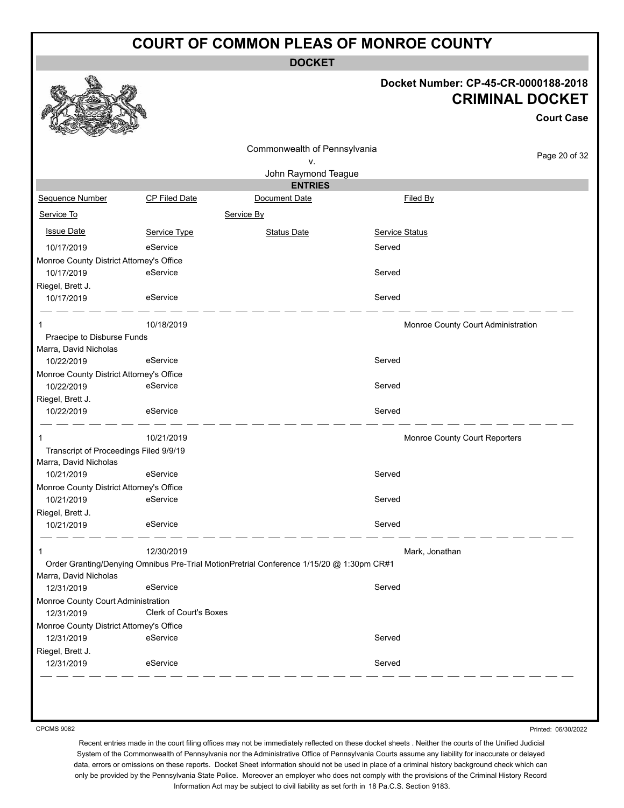**DOCKET**

#### **Docket Number: CP-45-CR-0000188-2018 CRIMINAL DOCKET**

**Court Case** Page 20 of 32 Commonwealth of Pennsylvania v. John Raymond Teague **ENTRIES** Sequence Number CP Filed Date Document Date **Document Date** Filed By Service To Service By **Issue Date Service Type** Service Type Status Date Service Status Date Service Status Service Status **Service Status** 10/17/2019 eService Served Monroe County District Attorney's Office 10/17/2019 eService eService Served Riegel, Brett J. 10/17/2019 eService entertainment of the Served 1 10/18/2019 10/18/2019 10:00 10:00 10:00 10:00 10:00 10:00 10:00 10:00 10:00 10:00 10:00 10:00 10:00 10:00 10 Praecipe to Disburse Funds Marra, David Nicholas 10/22/2019 eService Served Monroe County District Attorney's Office 10/22/2019 eService exercise service Riegel, Brett J. 10/22/2019 eService Served 1 1 10/21/2019 **10/21/2019** 10:00 10:00 Monroe County Court Reporters Transcript of Proceedings Filed 9/9/19 Marra, David Nicholas 10/21/2019 eService entertainment of the Served Monroe County District Attorney's Office 10/21/2019 eService entertainment of the Served Riegel, Brett J. 10/21/2019 eService entertainment of the Served 1 12/30/2019 Mark, Jonathan Order Granting/Denying Omnibus Pre-Trial MotionPretrial Conference 1/15/20 @ 1:30pm CR#1 Marra, David Nicholas 12/31/2019 eService entertainment of the Served Monroe County Court Administration 12/31/2019 Clerk of Court's Boxes Monroe County District Attorney's Office 12/31/2019 eService entertainment of the Served Riegel, Brett J. 12/31/2019 eService Served

CPCMS 9082

Printed: 06/30/2022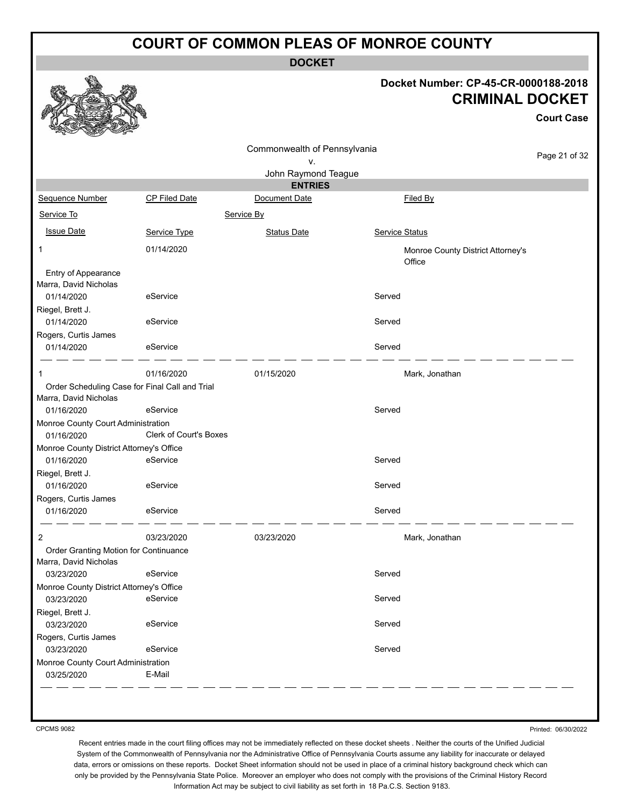**DOCKET**

#### **Docket Number: CP-45-CR-0000188-2018 CRIMINAL DOCKET**

**Court Case**

|                                                                |                               | Commonwealth of Pennsylvania |                                             |               |
|----------------------------------------------------------------|-------------------------------|------------------------------|---------------------------------------------|---------------|
|                                                                |                               | ν.                           |                                             | Page 21 of 32 |
|                                                                |                               | John Raymond Teague          |                                             |               |
|                                                                |                               | <b>ENTRIES</b>               |                                             |               |
| Sequence Number                                                | CP Filed Date                 | Document Date                | Filed By                                    |               |
| Service To                                                     |                               | Service By                   |                                             |               |
| <b>Issue Date</b>                                              | Service Type                  | <b>Status Date</b>           | Service Status                              |               |
| 1                                                              | 01/14/2020                    |                              | Monroe County District Attorney's<br>Office |               |
| Entry of Appearance                                            |                               |                              |                                             |               |
| Marra, David Nicholas                                          |                               |                              |                                             |               |
| 01/14/2020                                                     | eService                      |                              | Served                                      |               |
| Riegel, Brett J.<br>01/14/2020                                 | eService                      |                              | Served                                      |               |
| Rogers, Curtis James                                           |                               |                              |                                             |               |
| 01/14/2020                                                     | eService                      |                              | Served                                      |               |
| 1                                                              | 01/16/2020                    | 01/15/2020                   | Mark, Jonathan                              |               |
| Order Scheduling Case for Final Call and Trial                 |                               |                              |                                             |               |
| Marra, David Nicholas                                          |                               |                              |                                             |               |
| 01/16/2020                                                     | eService                      |                              | Served                                      |               |
| Monroe County Court Administration<br>01/16/2020               | <b>Clerk of Court's Boxes</b> |                              |                                             |               |
| Monroe County District Attorney's Office                       |                               |                              |                                             |               |
| 01/16/2020                                                     | eService                      |                              | Served                                      |               |
| Riegel, Brett J.                                               |                               |                              |                                             |               |
| 01/16/2020                                                     | eService                      |                              | Served                                      |               |
| Rogers, Curtis James<br>01/16/2020                             | eService                      |                              | Served                                      |               |
| 2                                                              | 03/23/2020                    | 03/23/2020                   | Mark, Jonathan                              |               |
| Order Granting Motion for Continuance<br>Marra, David Nicholas |                               |                              |                                             |               |
| 03/23/2020                                                     | eService                      |                              | Served                                      |               |
| Monroe County District Attorney's Office                       |                               |                              |                                             |               |
| 03/23/2020                                                     | eService                      |                              | Served                                      |               |
| Riegel, Brett J.                                               |                               |                              |                                             |               |
| 03/23/2020                                                     | eService                      |                              | Served                                      |               |
| Rogers, Curtis James                                           | eService                      |                              |                                             |               |
| 03/23/2020                                                     |                               |                              | Served                                      |               |
| Monroe County Court Administration<br>03/25/2020               | E-Mail                        |                              |                                             |               |
|                                                                |                               |                              |                                             |               |

CPCMS 9082

Printed: 06/30/2022

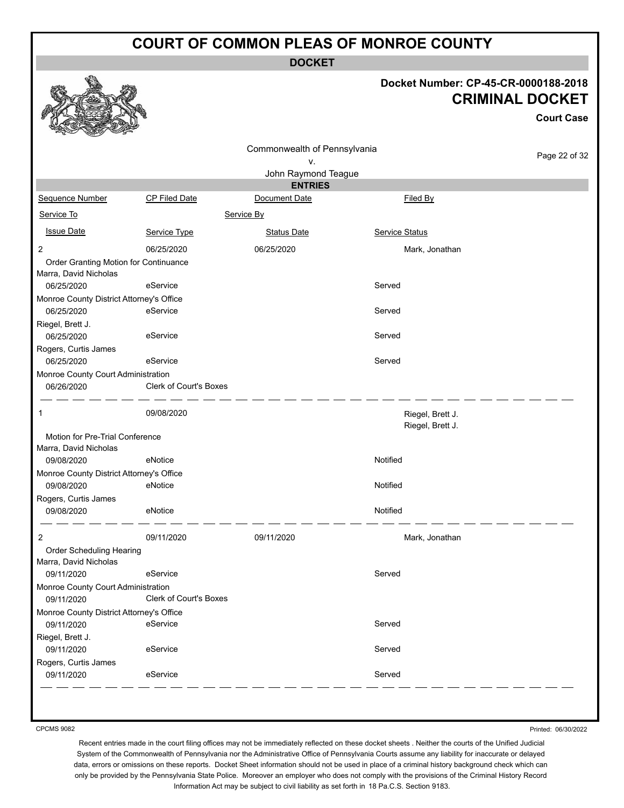**DOCKET**

#### **Docket Number: CP-45-CR-0000188-2018 CRIMINAL DOCKET**

**Court Case**

| n<br><b>COLLANDO</b><br><b>Contract of the Contract of Contract of The Contract of Contract of The Contract of The Contract of The Contract of The Contract of The Contract of The Contract of The Contract of The Contract of The Contract of The Contr</b> |                               |                                       |                                      |               |
|--------------------------------------------------------------------------------------------------------------------------------------------------------------------------------------------------------------------------------------------------------------|-------------------------------|---------------------------------------|--------------------------------------|---------------|
|                                                                                                                                                                                                                                                              |                               | Commonwealth of Pennsylvania          |                                      | Page 22 of 32 |
|                                                                                                                                                                                                                                                              |                               | ۷.                                    |                                      |               |
|                                                                                                                                                                                                                                                              |                               | John Raymond Teague<br><b>ENTRIES</b> |                                      |               |
| Sequence Number                                                                                                                                                                                                                                              | <b>CP Filed Date</b>          | Document Date                         | Filed By                             |               |
| Service To                                                                                                                                                                                                                                                   |                               | Service By                            |                                      |               |
| <b>Issue Date</b>                                                                                                                                                                                                                                            | Service Type                  | <b>Status Date</b>                    | Service Status                       |               |
| $\overline{2}$                                                                                                                                                                                                                                               | 06/25/2020                    | 06/25/2020                            | Mark, Jonathan                       |               |
| Order Granting Motion for Continuance                                                                                                                                                                                                                        |                               |                                       |                                      |               |
| Marra, David Nicholas                                                                                                                                                                                                                                        |                               |                                       |                                      |               |
| 06/25/2020                                                                                                                                                                                                                                                   | eService                      |                                       | Served                               |               |
| Monroe County District Attorney's Office                                                                                                                                                                                                                     |                               |                                       |                                      |               |
| 06/25/2020                                                                                                                                                                                                                                                   | eService                      |                                       | Served                               |               |
| Riegel, Brett J.                                                                                                                                                                                                                                             |                               |                                       |                                      |               |
| 06/25/2020                                                                                                                                                                                                                                                   | eService                      |                                       | Served                               |               |
| Rogers, Curtis James                                                                                                                                                                                                                                         |                               |                                       |                                      |               |
| 06/25/2020                                                                                                                                                                                                                                                   | eService                      |                                       | Served                               |               |
| Monroe County Court Administration                                                                                                                                                                                                                           |                               |                                       |                                      |               |
| 06/26/2020                                                                                                                                                                                                                                                   | <b>Clerk of Court's Boxes</b> |                                       |                                      |               |
| 1                                                                                                                                                                                                                                                            | 09/08/2020                    |                                       | Riegel, Brett J.<br>Riegel, Brett J. |               |
| Motion for Pre-Trial Conference                                                                                                                                                                                                                              |                               |                                       |                                      |               |
| Marra, David Nicholas                                                                                                                                                                                                                                        |                               |                                       |                                      |               |
| 09/08/2020                                                                                                                                                                                                                                                   | eNotice                       |                                       | Notified                             |               |
| Monroe County District Attorney's Office                                                                                                                                                                                                                     |                               |                                       |                                      |               |
| 09/08/2020                                                                                                                                                                                                                                                   | eNotice                       |                                       | Notified                             |               |
| Rogers, Curtis James<br>09/08/2020                                                                                                                                                                                                                           | eNotice                       |                                       | Notified                             |               |
|                                                                                                                                                                                                                                                              | 09/11/2020                    | 09/11/2020                            |                                      |               |
| 2<br>Order Scheduling Hearing                                                                                                                                                                                                                                |                               |                                       | Mark, Jonathan                       |               |
| Marra, David Nicholas                                                                                                                                                                                                                                        |                               |                                       |                                      |               |
| 09/11/2020                                                                                                                                                                                                                                                   | eService                      |                                       | Served                               |               |
| Monroe County Court Administration                                                                                                                                                                                                                           |                               |                                       |                                      |               |
| 09/11/2020                                                                                                                                                                                                                                                   | Clerk of Court's Boxes        |                                       |                                      |               |
| Monroe County District Attorney's Office                                                                                                                                                                                                                     |                               |                                       |                                      |               |
| 09/11/2020                                                                                                                                                                                                                                                   | eService                      |                                       | Served                               |               |
| Riegel, Brett J.                                                                                                                                                                                                                                             |                               |                                       |                                      |               |
| 09/11/2020                                                                                                                                                                                                                                                   | eService                      |                                       | Served                               |               |
| Rogers, Curtis James                                                                                                                                                                                                                                         |                               |                                       |                                      |               |
| 09/11/2020                                                                                                                                                                                                                                                   | eService                      |                                       | Served                               |               |

CPCMS 9082

Printed: 06/30/2022

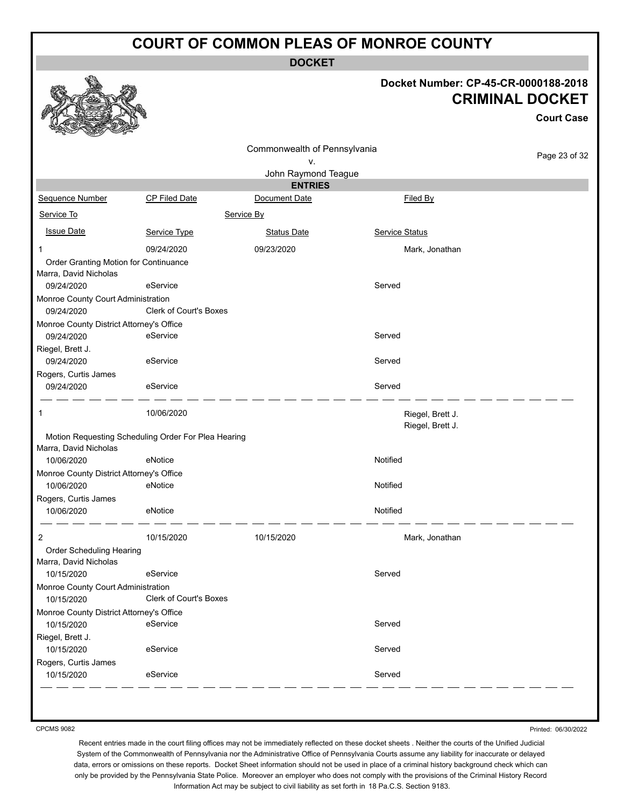**DOCKET**

#### **Docket Number: CP-45-CR-0000188-2018 CRIMINAL DOCKET**

**Court Case**

|                                                                | Commonwealth of Pennsylvania                        |                           |                                      | Page 23 of 32 |
|----------------------------------------------------------------|-----------------------------------------------------|---------------------------|--------------------------------------|---------------|
|                                                                |                                                     | ٧.<br>John Raymond Teague |                                      |               |
|                                                                |                                                     | <b>ENTRIES</b>            |                                      |               |
| Sequence Number                                                | CP Filed Date                                       | Document Date             | Filed By                             |               |
| Service To                                                     |                                                     | Service By                |                                      |               |
| <b>Issue Date</b>                                              | Service Type                                        | <b>Status Date</b>        | Service Status                       |               |
| 1                                                              | 09/24/2020                                          | 09/23/2020                | Mark, Jonathan                       |               |
| Order Granting Motion for Continuance<br>Marra, David Nicholas |                                                     |                           |                                      |               |
| 09/24/2020                                                     | eService                                            |                           | Served                               |               |
| Monroe County Court Administration                             |                                                     |                           |                                      |               |
| 09/24/2020                                                     | <b>Clerk of Court's Boxes</b>                       |                           |                                      |               |
| Monroe County District Attorney's Office                       |                                                     |                           |                                      |               |
| 09/24/2020                                                     | eService                                            |                           | Served                               |               |
| Riegel, Brett J.<br>09/24/2020                                 | eService                                            |                           | Served                               |               |
| Rogers, Curtis James                                           |                                                     |                           |                                      |               |
| 09/24/2020                                                     | eService                                            |                           | Served                               |               |
| 1                                                              | 10/06/2020                                          |                           | Riegel, Brett J.<br>Riegel, Brett J. |               |
| Marra, David Nicholas                                          | Motion Requesting Scheduling Order For Plea Hearing |                           |                                      |               |
| 10/06/2020                                                     | eNotice                                             |                           | Notified                             |               |
| Monroe County District Attorney's Office<br>10/06/2020         | eNotice                                             |                           | Notified                             |               |
| Rogers, Curtis James<br>10/06/2020                             | eNotice                                             |                           | Notified                             |               |
| $\overline{2}$                                                 | 10/15/2020                                          | 10/15/2020                | Mark, Jonathan                       |               |
| Order Scheduling Hearing<br>Marra, David Nicholas              |                                                     |                           |                                      |               |
| 10/15/2020                                                     | eService                                            |                           | Served                               |               |
| Monroe County Court Administration                             |                                                     |                           |                                      |               |
| 10/15/2020                                                     | Clerk of Court's Boxes                              |                           |                                      |               |
| Monroe County District Attorney's Office                       |                                                     |                           |                                      |               |
| 10/15/2020                                                     | eService                                            |                           | Served                               |               |
| Riegel, Brett J.                                               |                                                     |                           |                                      |               |
| 10/15/2020                                                     | eService                                            |                           | Served                               |               |
| Rogers, Curtis James<br>10/15/2020                             | eService                                            |                           | Served                               |               |
|                                                                |                                                     |                           |                                      |               |

CPCMS 9082

Printed: 06/30/2022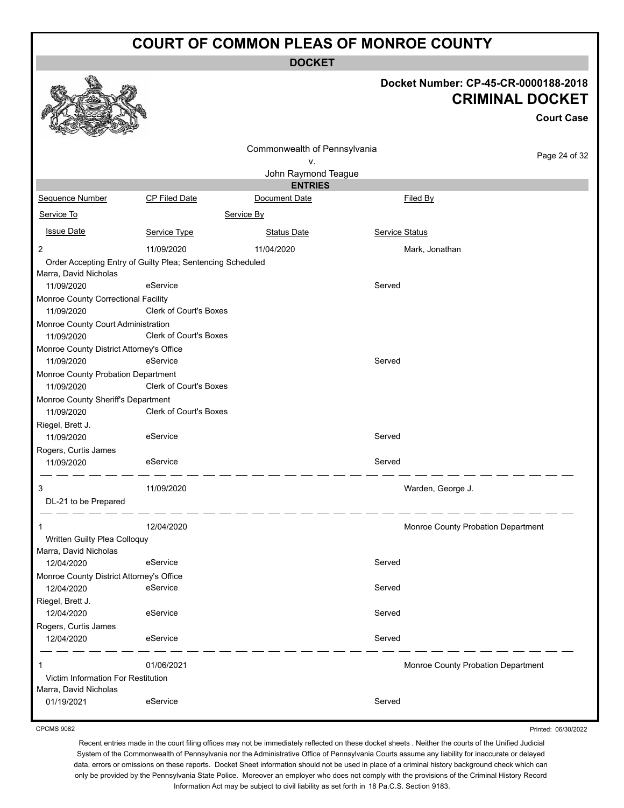**DOCKET**

#### **Docket Number: CP-45-CR-0000188-2018 CRIMINAL DOCKET**

**Court Case**

|                                          |                                                            | Commonwealth of Pennsylvania |                |                                    |
|------------------------------------------|------------------------------------------------------------|------------------------------|----------------|------------------------------------|
|                                          |                                                            | v.                           |                | Page 24 of 32                      |
|                                          |                                                            | John Raymond Teague          |                |                                    |
|                                          |                                                            | <b>ENTRIES</b>               |                |                                    |
| Sequence Number                          | CP Filed Date                                              | Document Date                | Filed By       |                                    |
| Service To                               |                                                            | Service By                   |                |                                    |
| <b>Issue Date</b>                        | Service Type                                               | <b>Status Date</b>           | Service Status |                                    |
| $\overline{c}$                           | 11/09/2020                                                 | 11/04/2020                   |                | Mark, Jonathan                     |
|                                          | Order Accepting Entry of Guilty Plea; Sentencing Scheduled |                              |                |                                    |
| Marra, David Nicholas                    |                                                            |                              |                |                                    |
| 11/09/2020                               | eService                                                   |                              | Served         |                                    |
| Monroe County Correctional Facility      |                                                            |                              |                |                                    |
| 11/09/2020                               | Clerk of Court's Boxes                                     |                              |                |                                    |
| Monroe County Court Administration       |                                                            |                              |                |                                    |
| 11/09/2020                               | Clerk of Court's Boxes                                     |                              |                |                                    |
| Monroe County District Attorney's Office |                                                            |                              |                |                                    |
| 11/09/2020                               | eService                                                   |                              | Served         |                                    |
| Monroe County Probation Department       |                                                            |                              |                |                                    |
| 11/09/2020                               | Clerk of Court's Boxes                                     |                              |                |                                    |
| Monroe County Sheriff's Department       |                                                            |                              |                |                                    |
| 11/09/2020                               | Clerk of Court's Boxes                                     |                              |                |                                    |
| Riegel, Brett J.                         |                                                            |                              |                |                                    |
| 11/09/2020                               | eService                                                   |                              | Served         |                                    |
| Rogers, Curtis James                     |                                                            |                              |                |                                    |
| 11/09/2020                               | eService                                                   |                              | Served         |                                    |
| 3                                        | 11/09/2020                                                 |                              |                | Warden, George J.                  |
| DL-21 to be Prepared                     |                                                            |                              |                |                                    |
|                                          |                                                            |                              |                |                                    |
|                                          | 12/04/2020                                                 |                              |                | Monroe County Probation Department |
| Written Guilty Plea Colloquy             |                                                            |                              |                |                                    |
| Marra, David Nicholas<br>12/04/2020      | eService                                                   |                              | Served         |                                    |
|                                          |                                                            |                              |                |                                    |
| Monroe County District Attorney's Office | eService                                                   |                              | Served         |                                    |
| 12/04/2020                               |                                                            |                              |                |                                    |
| Riegel, Brett J.<br>12/04/2020           | eService                                                   |                              | Served         |                                    |
|                                          |                                                            |                              |                |                                    |
| Rogers, Curtis James                     | eService                                                   |                              | Served         |                                    |
| 12/04/2020                               |                                                            |                              |                |                                    |
| 1                                        | 01/06/2021                                                 |                              |                | Monroe County Probation Department |
| Victim Information For Restitution       |                                                            |                              |                |                                    |
| Marra, David Nicholas                    |                                                            |                              |                |                                    |
| 01/19/2021                               | eService                                                   |                              | Served         |                                    |

CPCMS 9082

Printed: 06/30/2022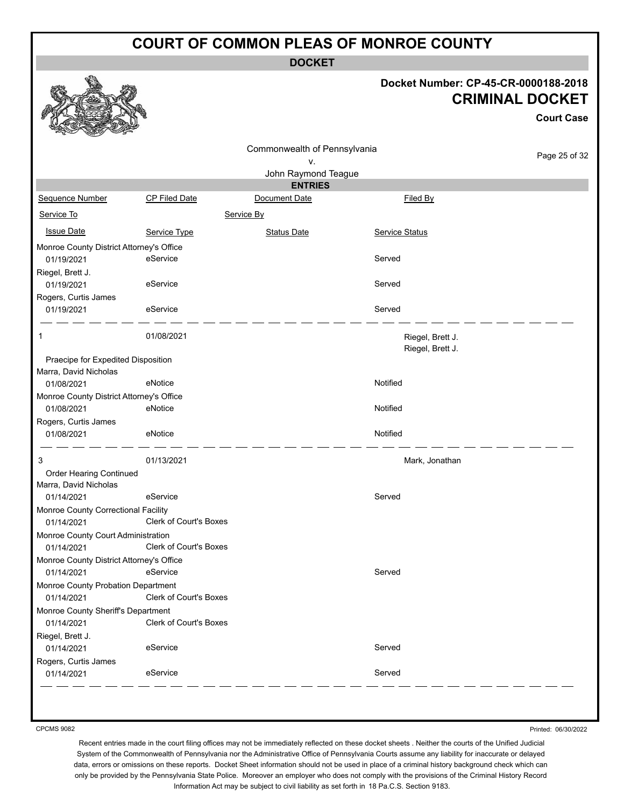**DOCKET**

#### **Docket Number: CP-45-CR-0000188-2018 CRIMINAL DOCKET**

**Court Case**

Page 25 of 32

|                                          |                               |                              | поскет ип              |
|------------------------------------------|-------------------------------|------------------------------|------------------------|
|                                          |                               | Commonwealth of Pennsylvania |                        |
|                                          |                               | ۷.                           |                        |
|                                          |                               | John Raymond Teague          |                        |
|                                          |                               | <b>ENTRIES</b>               |                        |
| Sequence Number                          | <b>CP Filed Date</b>          | Document Date                | Filed By               |
| Service To                               |                               | Service By                   |                        |
| <b>Issue Date</b>                        | Service Type                  | <b>Status Date</b>           | <b>Service Status</b>  |
| Monroe County District Attorney's Office |                               |                              |                        |
| 01/19/2021                               | eService                      |                              | Served                 |
| Riegel, Brett J.                         |                               |                              |                        |
| 01/19/2021                               | eService                      |                              | Served                 |
| Rogers, Curtis James                     |                               |                              |                        |
| 01/19/2021                               | eService                      |                              | Served                 |
| 1                                        | 01/08/2021                    |                              | Riegel, I<br>Riegel, I |
| Praecipe for Expedited Disposition       |                               |                              |                        |
| Marra, David Nicholas                    |                               |                              |                        |
| 01/08/2021                               | eNotice                       |                              | Notified               |
| Monroe County District Attorney's Office |                               |                              |                        |
| 01/08/2021                               | eNotice                       |                              | Notified               |
| Rogers, Curtis James                     |                               |                              |                        |
| 01/08/2021                               | eNotice                       |                              | Notified               |
| 3                                        | 01/13/2021                    |                              | Mark, Jo               |
| Order Hearing Continued                  |                               |                              |                        |
| Marra, David Nicholas                    |                               |                              |                        |
| 01/14/2021                               | eService                      |                              | Served                 |
| Monroe County Correctional Facility      |                               |                              |                        |
| 01/14/2021                               | <b>Clerk of Court's Boxes</b> |                              |                        |

Rog 01/19/2021 eService Served 1 01/08/2021 **DESIMBER 1 01/08/2021** CONSUMING THE REGULAR REGULAR REGULAR REGULAR REGULAR REGULAR REGULAR REGULA Riegel, Brett J. Praecipe for Expedited Disposition Mar 01/08/2021 eNotice Notified Monroe County District Attorney's Office 01/08/2021 eNotice Notified Rog 01/08/2021 eNotice Notified 3 01/13/2021 Mark, Jonathan Order Hearing Continued Mar 01/14/2021 eService entertainment of the Served Monroe County Correctional Facility 01/14/2021 Clerk of Court's Boxes Monroe County Court Administration 01/14/2021 Clerk of Court's Boxes Monroe County District Attorney's Office 01/14/2021 eService entertainment of the Served Monroe County Probation Department 01/14/2021 Clerk of Court's Boxes Monroe County Sheriff's Department 01/14/2021 Clerk of Court's Boxes Riegel, Brett J. 01/14/2021 eService exercise and the Served Rogers, Curtis James 01/14/2021 eService entertainment of the Served

CPCMS 9082

♦

Printed: 06/30/2022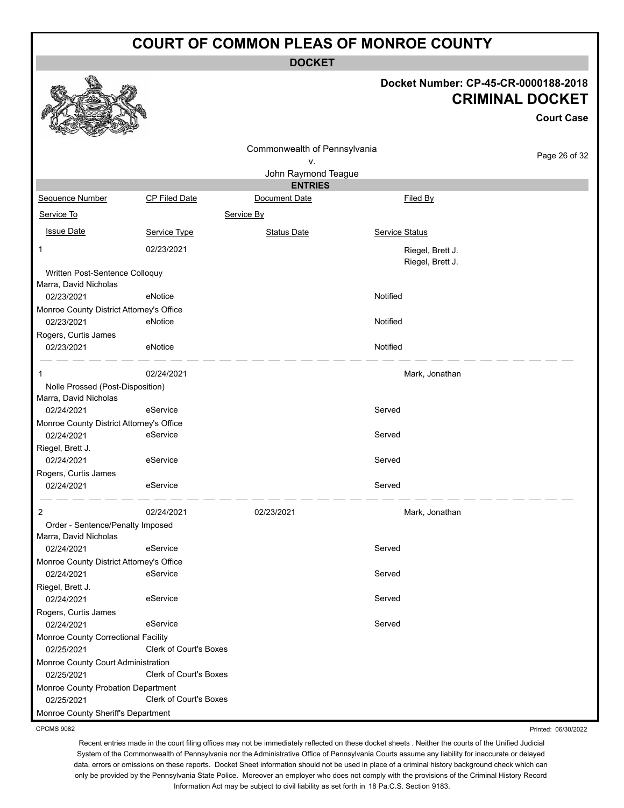**DOCKET**

# **Docket Number: CP-45-CR-0000188-2018 CRIMINAL DOCKET**

Case

|                                                         |                        |                                       |                                      | <b>Court Case</b> |
|---------------------------------------------------------|------------------------|---------------------------------------|--------------------------------------|-------------------|
|                                                         |                        | Commonwealth of Pennsylvania          |                                      | Page 26 of 32     |
|                                                         |                        | ٧.                                    |                                      |                   |
|                                                         |                        | John Raymond Teague<br><b>ENTRIES</b> |                                      |                   |
| Sequence Number                                         | <b>CP Filed Date</b>   | Document Date                         | Filed By                             |                   |
| Service To                                              |                        | Service By                            |                                      |                   |
| <b>Issue Date</b>                                       | Service Type           | <b>Status Date</b>                    | Service Status                       |                   |
| 1                                                       | 02/23/2021             |                                       | Riegel, Brett J.<br>Riegel, Brett J. |                   |
| Written Post-Sentence Colloquy<br>Marra, David Nicholas |                        |                                       |                                      |                   |
| 02/23/2021                                              | eNotice                |                                       | Notified                             |                   |
| Monroe County District Attorney's Office<br>02/23/2021  | eNotice                |                                       | Notified                             |                   |
| Rogers, Curtis James<br>02/23/2021                      | eNotice                |                                       | Notified                             |                   |
| 1                                                       | 02/24/2021             |                                       | Mark, Jonathan                       |                   |
| Nolle Prossed (Post-Disposition)                        |                        |                                       |                                      |                   |
| Marra, David Nicholas                                   |                        |                                       |                                      |                   |
| 02/24/2021                                              | eService               |                                       | Served                               |                   |
| Monroe County District Attorney's Office<br>02/24/2021  | eService               |                                       | Served                               |                   |
|                                                         |                        |                                       |                                      |                   |
| Riegel, Brett J.<br>02/24/2021                          | eService               |                                       | Served                               |                   |
| Rogers, Curtis James                                    |                        |                                       |                                      |                   |
| 02/24/2021                                              | eService               |                                       | Served                               |                   |
| 2                                                       | 02/24/2021             | 02/23/2021                            | Mark, Jonathan                       |                   |
| Order - Sentence/Penalty Imposed                        |                        |                                       |                                      |                   |
| Marra, David Nicholas                                   |                        |                                       |                                      |                   |
| 02/24/2021                                              | eService               |                                       | Served                               |                   |
| Monroe County District Attorney's Office                |                        |                                       |                                      |                   |
| 02/24/2021                                              | eService               |                                       | Served                               |                   |
| Riegel, Brett J.                                        |                        |                                       |                                      |                   |
| 02/24/2021                                              | eService               |                                       | Served                               |                   |
| Rogers, Curtis James<br>02/24/2021                      | eService               |                                       | Served                               |                   |
| Monroe County Correctional Facility                     |                        |                                       |                                      |                   |
| 02/25/2021                                              | Clerk of Court's Boxes |                                       |                                      |                   |
| Monroe County Court Administration                      |                        |                                       |                                      |                   |
| 02/25/2021                                              | Clerk of Court's Boxes |                                       |                                      |                   |
| Monroe County Probation Department<br>02/25/2021        | Clerk of Court's Boxes |                                       |                                      |                   |
| Monroe County Sheriff's Department                      |                        |                                       |                                      |                   |
|                                                         |                        |                                       |                                      |                   |

CPCMS 9082

Recent entries made in the court filing offices may not be immediately reflected on these docket sheets . Neither the courts of the Unified Judicial System of the Commonwealth of Pennsylvania nor the Administrative Office of Pennsylvania Courts assume any liability for inaccurate or delayed data, errors or omissions on these reports. Docket Sheet information should not be used in place of a criminal history background check which can only be provided by the Pennsylvania State Police. Moreover an employer who does not comply with the provisions of the Criminal History Record Information Act may be subject to civil liability as set forth in 18 Pa.C.S. Section 9183.

Printed: 06/30/2022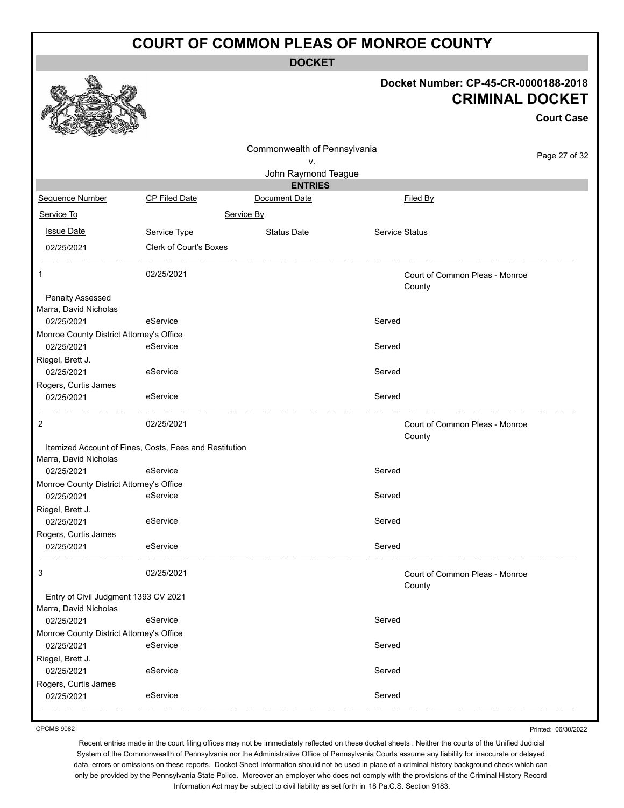**DOCKET**

|                                                        |                                                        |                                       |                       | Docket Number: CP-45-CR-0000188-2018<br><b>CRIMINAL DOCKET</b><br><b>Court Case</b> |
|--------------------------------------------------------|--------------------------------------------------------|---------------------------------------|-----------------------|-------------------------------------------------------------------------------------|
|                                                        |                                                        | Commonwealth of Pennsylvania          |                       | Page 27 of 32                                                                       |
|                                                        |                                                        | ٧.                                    |                       |                                                                                     |
|                                                        |                                                        | John Raymond Teague<br><b>ENTRIES</b> |                       |                                                                                     |
| Sequence Number                                        | <b>CP Filed Date</b>                                   | Document Date                         |                       | Filed By                                                                            |
| Service To                                             |                                                        | Service By                            |                       |                                                                                     |
|                                                        |                                                        |                                       |                       |                                                                                     |
| <b>Issue Date</b>                                      | Service Type                                           | <b>Status Date</b>                    | <b>Service Status</b> |                                                                                     |
| 02/25/2021                                             | Clerk of Court's Boxes                                 |                                       |                       |                                                                                     |
| 1                                                      | 02/25/2021                                             |                                       |                       | Court of Common Pleas - Monroe<br>County                                            |
| <b>Penalty Assessed</b>                                |                                                        |                                       |                       |                                                                                     |
| Marra, David Nicholas                                  | eService                                               |                                       | Served                |                                                                                     |
| 02/25/2021                                             |                                                        |                                       |                       |                                                                                     |
| Monroe County District Attorney's Office<br>02/25/2021 | eService                                               |                                       | Served                |                                                                                     |
| Riegel, Brett J.                                       |                                                        |                                       |                       |                                                                                     |
| 02/25/2021                                             | eService                                               |                                       | Served                |                                                                                     |
| Rogers, Curtis James                                   |                                                        |                                       |                       |                                                                                     |
| 02/25/2021                                             | eService                                               |                                       | Served                |                                                                                     |
| 2                                                      | 02/25/2021                                             |                                       |                       | Court of Common Pleas - Monroe<br>County                                            |
| Marra, David Nicholas                                  | Itemized Account of Fines, Costs, Fees and Restitution |                                       |                       |                                                                                     |
| 02/25/2021                                             | eService                                               |                                       | Served                |                                                                                     |
| Monroe County District Attorney's Office               |                                                        |                                       |                       |                                                                                     |
| 02/25/2021                                             | eService                                               |                                       | Served                |                                                                                     |
| Riegel, Brett J.                                       |                                                        |                                       |                       |                                                                                     |
| 02/25/2021                                             | eService                                               |                                       | Served                |                                                                                     |
| Rogers, Curtis James                                   |                                                        |                                       |                       |                                                                                     |
| 02/25/2021                                             | eService                                               |                                       | Served                |                                                                                     |
| 3                                                      | 02/25/2021                                             |                                       |                       | Court of Common Pleas - Monroe<br>County                                            |
| Entry of Civil Judgment 1393 CV 2021                   |                                                        |                                       |                       |                                                                                     |
| Marra, David Nicholas                                  |                                                        |                                       |                       |                                                                                     |
| 02/25/2021                                             | eService                                               |                                       | Served                |                                                                                     |
| Monroe County District Attorney's Office               |                                                        |                                       |                       |                                                                                     |
| 02/25/2021                                             | eService                                               |                                       | Served                |                                                                                     |
| Riegel, Brett J.                                       |                                                        |                                       |                       |                                                                                     |
| 02/25/2021                                             | eService                                               |                                       | Served                |                                                                                     |
| Rogers, Curtis James                                   |                                                        |                                       |                       |                                                                                     |
| 02/25/2021                                             | eService                                               |                                       | Served                |                                                                                     |

CPCMS 9082

Recent entries made in the court filing offices may not be immediately reflected on these docket sheets . Neither the courts of the Unified Judicial System of the Commonwealth of Pennsylvania nor the Administrative Office of Pennsylvania Courts assume any liability for inaccurate or delayed data, errors or omissions on these reports. Docket Sheet information should not be used in place of a criminal history background check which can only be provided by the Pennsylvania State Police. Moreover an employer who does not comply with the provisions of the Criminal History Record Information Act may be subject to civil liability as set forth in 18 Pa.C.S. Section 9183.

Printed: 06/30/2022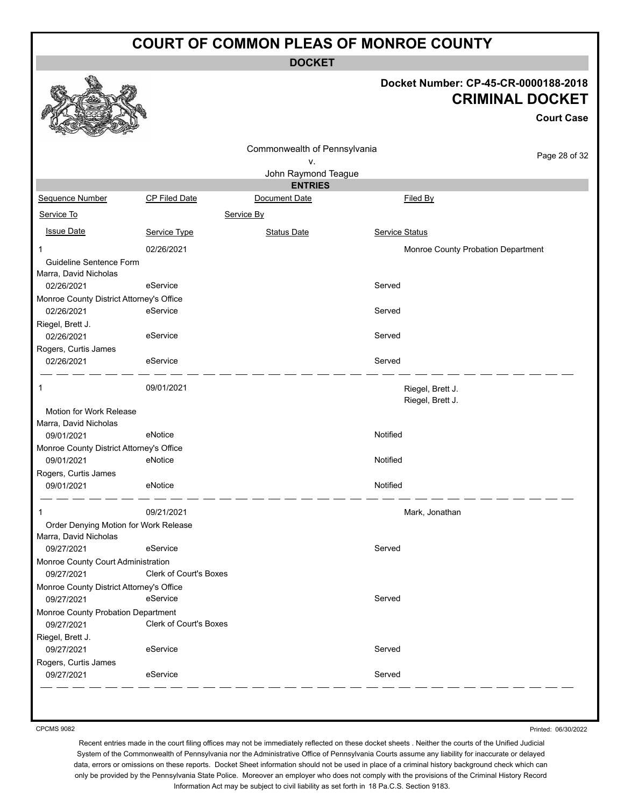**DOCKET**

#### **Docket Number: CP-45-CR-0000188-2018 CRIMINAL DOCKET**

**Court Case**

|                                                  |                               | Commonwealth of Pennsylvania |                                      |               |
|--------------------------------------------------|-------------------------------|------------------------------|--------------------------------------|---------------|
|                                                  |                               | ٧.                           |                                      | Page 28 of 32 |
|                                                  |                               | John Raymond Teague          |                                      |               |
|                                                  |                               | <b>ENTRIES</b>               |                                      |               |
| Sequence Number                                  | <b>CP Filed Date</b>          | Document Date                | Filed By                             |               |
| Service To                                       |                               | Service By                   |                                      |               |
| <b>Issue Date</b>                                | Service Type                  | <b>Status Date</b>           | Service Status                       |               |
| 1                                                | 02/26/2021                    |                              | Monroe County Probation Department   |               |
| Guideline Sentence Form<br>Marra, David Nicholas |                               |                              |                                      |               |
| 02/26/2021                                       | eService                      |                              | Served                               |               |
| Monroe County District Attorney's Office         |                               |                              |                                      |               |
| 02/26/2021                                       | eService                      |                              | Served                               |               |
| Riegel, Brett J.<br>02/26/2021                   | eService                      |                              | Served                               |               |
| Rogers, Curtis James                             |                               |                              |                                      |               |
| 02/26/2021                                       | eService                      |                              | Served                               |               |
| 1                                                | 09/01/2021                    |                              | Riegel, Brett J.<br>Riegel, Brett J. |               |
| Motion for Work Release                          |                               |                              |                                      |               |
| Marra, David Nicholas                            |                               |                              |                                      |               |
| 09/01/2021                                       | eNotice                       |                              | Notified                             |               |
| Monroe County District Attorney's Office         |                               |                              |                                      |               |
| 09/01/2021                                       | eNotice                       |                              | Notified                             |               |
| Rogers, Curtis James<br>09/01/2021               | eNotice                       |                              | Notified                             |               |
| 1                                                | 09/21/2021                    |                              | Mark, Jonathan                       |               |
| Order Denying Motion for Work Release            |                               |                              |                                      |               |
| Marra, David Nicholas                            | eService                      |                              | Served                               |               |
| 09/27/2021                                       |                               |                              |                                      |               |
| Monroe County Court Administration<br>09/27/2021 | <b>Clerk of Court's Boxes</b> |                              |                                      |               |
| Monroe County District Attorney's Office         |                               |                              |                                      |               |
| 09/27/2021                                       | eService                      |                              | Served                               |               |
| Monroe County Probation Department               |                               |                              |                                      |               |
| 09/27/2021                                       | Clerk of Court's Boxes        |                              |                                      |               |
| Riegel, Brett J.                                 |                               |                              |                                      |               |
| 09/27/2021                                       | eService                      |                              | Served                               |               |
| Rogers, Curtis James                             |                               |                              |                                      |               |
| 09/27/2021                                       | eService                      |                              | Served                               |               |
|                                                  |                               |                              |                                      |               |

CPCMS 9082

Printed: 06/30/2022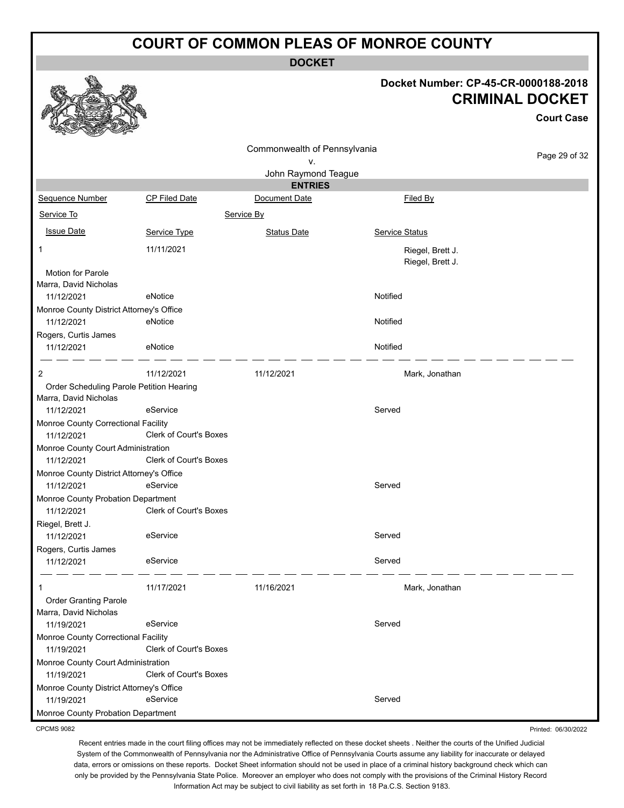**DOCKET**

#### **Docket Number: CP-45-CR-0000188-2018 CRIMINAL DOCKET**

Printed: 06/30/2022

|                                                        |                               |                                    |                                      | <b>Court Case</b> |
|--------------------------------------------------------|-------------------------------|------------------------------------|--------------------------------------|-------------------|
|                                                        |                               | Commonwealth of Pennsylvania<br>۷. |                                      | Page 29 of 32     |
|                                                        |                               | John Raymond Teague                |                                      |                   |
|                                                        |                               | <b>ENTRIES</b>                     |                                      |                   |
| <b>Sequence Number</b>                                 | <b>CP Filed Date</b>          | Document Date                      | Filed By                             |                   |
| Service To                                             |                               | Service By                         |                                      |                   |
| <b>Issue Date</b>                                      | Service Type                  | <b>Status Date</b>                 | Service Status                       |                   |
| 1                                                      | 11/11/2021                    |                                    | Riegel, Brett J.<br>Riegel, Brett J. |                   |
| Motion for Parole                                      |                               |                                    |                                      |                   |
| Marra, David Nicholas                                  |                               |                                    |                                      |                   |
| 11/12/2021                                             | eNotice                       |                                    | Notified                             |                   |
| Monroe County District Attorney's Office               |                               |                                    |                                      |                   |
| 11/12/2021                                             | eNotice                       |                                    | Notified                             |                   |
| Rogers, Curtis James                                   |                               |                                    |                                      |                   |
| 11/12/2021                                             | eNotice                       |                                    | Notified                             |                   |
| 2                                                      | 11/12/2021                    | 11/12/2021                         | Mark, Jonathan                       |                   |
| Order Scheduling Parole Petition Hearing               |                               |                                    |                                      |                   |
| Marra, David Nicholas                                  |                               |                                    |                                      |                   |
| 11/12/2021                                             | eService                      |                                    | Served                               |                   |
| Monroe County Correctional Facility<br>11/12/2021      | <b>Clerk of Court's Boxes</b> |                                    |                                      |                   |
| Monroe County Court Administration<br>11/12/2021       | <b>Clerk of Court's Boxes</b> |                                    |                                      |                   |
| Monroe County District Attorney's Office<br>11/12/2021 | eService                      |                                    | Served                               |                   |
| Monroe County Probation Department<br>11/12/2021       | Clerk of Court's Boxes        |                                    |                                      |                   |
| Riegel, Brett J.                                       |                               |                                    |                                      |                   |
| 11/12/2021                                             | eService                      |                                    | Served                               |                   |
| Rogers, Curtis James                                   |                               |                                    |                                      |                   |
| 11/12/2021                                             | eService                      |                                    | Served                               |                   |
| 1                                                      | 11/17/2021                    | 11/16/2021                         | Mark, Jonathan                       |                   |
| <b>Order Granting Parole</b><br>Marra, David Nicholas  |                               |                                    |                                      |                   |
| 11/19/2021                                             | eService                      |                                    | Served                               |                   |
| Monroe County Correctional Facility                    |                               |                                    |                                      |                   |
| 11/19/2021                                             | Clerk of Court's Boxes        |                                    |                                      |                   |
| Monroe County Court Administration<br>11/19/2021       | Clerk of Court's Boxes        |                                    |                                      |                   |
| Monroe County District Attorney's Office<br>11/19/2021 | eService                      |                                    | Served                               |                   |
| Monroe County Probation Department                     |                               |                                    |                                      |                   |

CPCMS 9082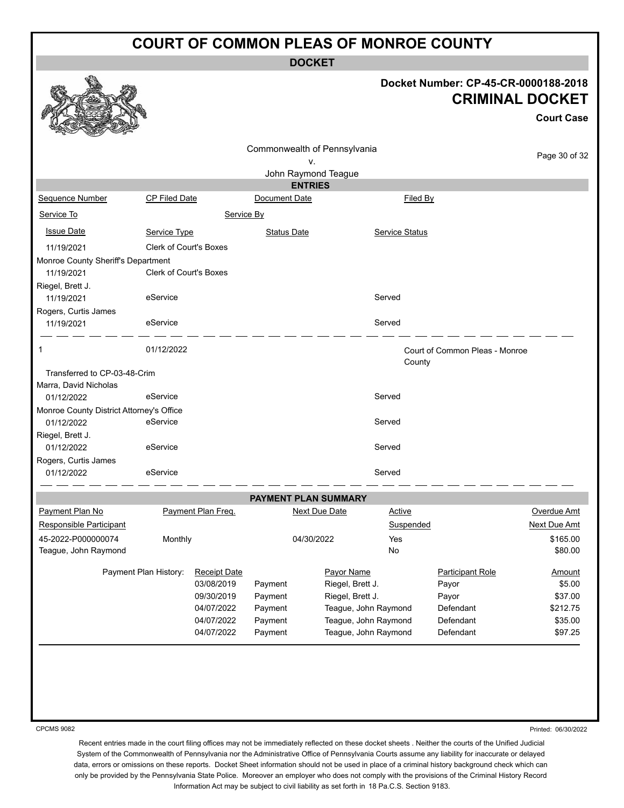**DOCKET**

# **Docket Number: CP-45-CR-0000188-2018 CRIMINAL DOCKET**

**Court Case**

|                                          |                               |                     |                    | Commonwealth of Pennsylvania |                      |                                |               |
|------------------------------------------|-------------------------------|---------------------|--------------------|------------------------------|----------------------|--------------------------------|---------------|
|                                          |                               |                     |                    | ٧.                           |                      |                                | Page 30 of 32 |
|                                          |                               |                     |                    | John Raymond Teague          |                      |                                |               |
|                                          |                               |                     |                    | <b>ENTRIES</b>               |                      |                                |               |
| Sequence Number                          | <b>CP Filed Date</b>          |                     | Document Date      |                              | Filed By             |                                |               |
| Service To                               |                               | Service By          |                    |                              |                      |                                |               |
| <b>Issue Date</b>                        | Service Type                  |                     | <b>Status Date</b> |                              | Service Status       |                                |               |
| 11/19/2021                               | <b>Clerk of Court's Boxes</b> |                     |                    |                              |                      |                                |               |
| Monroe County Sheriff's Department       |                               |                     |                    |                              |                      |                                |               |
| 11/19/2021                               | <b>Clerk of Court's Boxes</b> |                     |                    |                              |                      |                                |               |
| Riegel, Brett J.                         |                               |                     |                    |                              |                      |                                |               |
| 11/19/2021                               | eService                      |                     |                    |                              | Served               |                                |               |
| Rogers, Curtis James                     |                               |                     |                    |                              |                      |                                |               |
| 11/19/2021                               | eService                      |                     |                    |                              | Served               |                                |               |
| 1                                        | 01/12/2022                    |                     |                    |                              |                      | Court of Common Pleas - Monroe |               |
| Transferred to CP-03-48-Crim             |                               |                     |                    |                              | County               |                                |               |
| Marra, David Nicholas                    |                               |                     |                    |                              |                      |                                |               |
| 01/12/2022                               | eService                      |                     |                    |                              | Served               |                                |               |
| Monroe County District Attorney's Office |                               |                     |                    |                              |                      |                                |               |
| 01/12/2022                               | eService                      |                     |                    |                              | Served               |                                |               |
| Riegel, Brett J.                         |                               |                     |                    |                              |                      |                                |               |
| 01/12/2022                               | eService                      |                     |                    |                              | Served               |                                |               |
| Rogers, Curtis James                     |                               |                     |                    |                              |                      |                                |               |
| 01/12/2022                               | eService                      |                     |                    |                              | Served               |                                |               |
|                                          |                               |                     |                    | PAYMENT PLAN SUMMARY         |                      |                                |               |
| Payment Plan No                          |                               | Payment Plan Freq.  |                    | <b>Next Due Date</b>         | <b>Active</b>        |                                | Overdue Amt   |
| Responsible Participant                  |                               |                     |                    |                              | Suspended            |                                | Next Due Amt  |
| 45-2022-P000000074                       | Monthly                       |                     |                    | 04/30/2022                   | Yes                  |                                | \$165.00      |
| Teague, John Raymond                     |                               |                     |                    |                              | No                   |                                | \$80.00       |
|                                          | Payment Plan History:         | <b>Receipt Date</b> |                    | Payor Name                   |                      | <b>Participant Role</b>        | <b>Amount</b> |
|                                          |                               | 03/08/2019          | Payment            | Riegel, Brett J.             |                      | Payor                          | \$5.00        |
|                                          |                               | 09/30/2019          | Payment            | Riegel, Brett J.             |                      | Payor                          | \$37.00       |
|                                          |                               | 04/07/2022          | Payment            |                              | Teague, John Raymond | Defendant                      | \$212.75      |
|                                          |                               | 04/07/2022          | Payment            |                              | Teague, John Raymond | Defendant                      | \$35.00       |
|                                          |                               | 04/07/2022          | Payment            |                              | Teague, John Raymond | Defendant                      | \$97.25       |

CPCMS 9082

Printed: 06/30/2022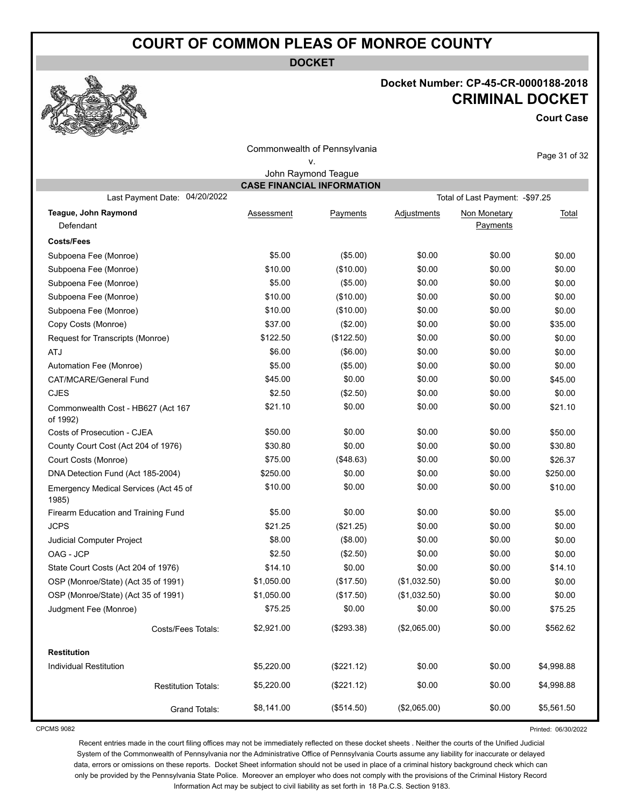**DOCKET**

### **Docket Number: CP-45-CR-0000188-2018 CRIMINAL DOCKET**

**Court Case**

Printed: 06/30/2022

|                                                |                                   | Commonwealth of Pennsylvania |              |                                  | Page 31 of 32 |
|------------------------------------------------|-----------------------------------|------------------------------|--------------|----------------------------------|---------------|
|                                                |                                   | ٧.                           |              |                                  |               |
|                                                |                                   | John Raymond Teague          |              |                                  |               |
| Last Payment Date: 04/20/2022                  | <b>CASE FINANCIAL INFORMATION</b> |                              |              | Total of Last Payment: - \$97.25 |               |
|                                                |                                   |                              |              |                                  |               |
| Teague, John Raymond<br>Defendant              | Assessment                        | Payments                     | Adjustments  | Non Monetary<br>Payments         | <u>Total</u>  |
| <b>Costs/Fees</b>                              |                                   |                              |              |                                  |               |
| Subpoena Fee (Monroe)                          | \$5.00                            | (\$5.00)                     | \$0.00       | \$0.00                           | \$0.00        |
| Subpoena Fee (Monroe)                          | \$10.00                           | (\$10.00)                    | \$0.00       | \$0.00                           | \$0.00        |
| Subpoena Fee (Monroe)                          | \$5.00                            | (\$5.00)                     | \$0.00       | \$0.00                           | \$0.00        |
| Subpoena Fee (Monroe)                          | \$10.00                           | (\$10.00)                    | \$0.00       | \$0.00                           | \$0.00        |
| Subpoena Fee (Monroe)                          | \$10.00                           | (\$10.00)                    | \$0.00       | \$0.00                           | \$0.00        |
| Copy Costs (Monroe)                            | \$37.00                           | (\$2.00)                     | \$0.00       | \$0.00                           | \$35.00       |
| Request for Transcripts (Monroe)               | \$122.50                          | (\$122.50)                   | \$0.00       | \$0.00                           | \$0.00        |
| <b>ATJ</b>                                     | \$6.00                            | (\$6.00)                     | \$0.00       | \$0.00                           | \$0.00        |
| Automation Fee (Monroe)                        | \$5.00                            | (\$5.00)                     | \$0.00       | \$0.00                           | \$0.00        |
| CAT/MCARE/General Fund                         | \$45.00                           | \$0.00                       | \$0.00       | \$0.00                           | \$45.00       |
| <b>CJES</b>                                    | \$2.50                            | (\$2.50)                     | \$0.00       | \$0.00                           | \$0.00        |
| Commonwealth Cost - HB627 (Act 167<br>of 1992) | \$21.10                           | \$0.00                       | \$0.00       | \$0.00                           | \$21.10       |
| Costs of Prosecution - CJEA                    | \$50.00                           | \$0.00                       | \$0.00       | \$0.00                           | \$50.00       |
| County Court Cost (Act 204 of 1976)            | \$30.80                           | \$0.00                       | \$0.00       | \$0.00                           | \$30.80       |
| Court Costs (Monroe)                           | \$75.00                           | (\$48.63)                    | \$0.00       | \$0.00                           | \$26.37       |
| DNA Detection Fund (Act 185-2004)              | \$250.00                          | \$0.00                       | \$0.00       | \$0.00                           | \$250.00      |
| Emergency Medical Services (Act 45 of<br>1985) | \$10.00                           | \$0.00                       | \$0.00       | \$0.00                           | \$10.00       |
| Firearm Education and Training Fund            | \$5.00                            | \$0.00                       | \$0.00       | \$0.00                           | \$5.00        |
| <b>JCPS</b>                                    | \$21.25                           | (\$21.25)                    | \$0.00       | \$0.00                           | \$0.00        |
| Judicial Computer Project                      | \$8.00                            | (\$8.00)                     | \$0.00       | \$0.00                           | \$0.00        |
| OAG - JCP                                      | \$2.50                            | (\$2.50)                     | \$0.00       | \$0.00                           | \$0.00        |
| State Court Costs (Act 204 of 1976)            | \$14.10                           | \$0.00                       | \$0.00       | \$0.00                           | \$14.10       |
| OSP (Monroe/State) (Act 35 of 1991)            | \$1,050.00                        | (\$17.50)                    | (\$1,032.50) | \$0.00                           | \$0.00        |
| OSP (Monroe/State) (Act 35 of 1991)            | \$1,050.00                        | (\$17.50)                    | (\$1,032.50) | \$0.00                           | \$0.00        |
| Judgment Fee (Monroe)                          | \$75.25                           | \$0.00                       | \$0.00       | \$0.00                           | \$75.25       |
| Costs/Fees Totals:                             | \$2,921.00                        | (\$293.38)                   | (\$2,065.00) | \$0.00                           | \$562.62      |
| <b>Restitution</b>                             |                                   |                              |              |                                  |               |
| <b>Individual Restitution</b>                  | \$5,220.00                        | (\$221.12)                   | \$0.00       | \$0.00                           | \$4,998.88    |
| <b>Restitution Totals:</b>                     | \$5,220.00                        | (\$221.12)                   | \$0.00       | \$0.00                           | \$4,998.88    |
| <b>Grand Totals:</b>                           | \$8,141.00                        | (\$514.50)                   | (\$2,065.00) | \$0.00                           | \$5,561.50    |

CPCMS 9082